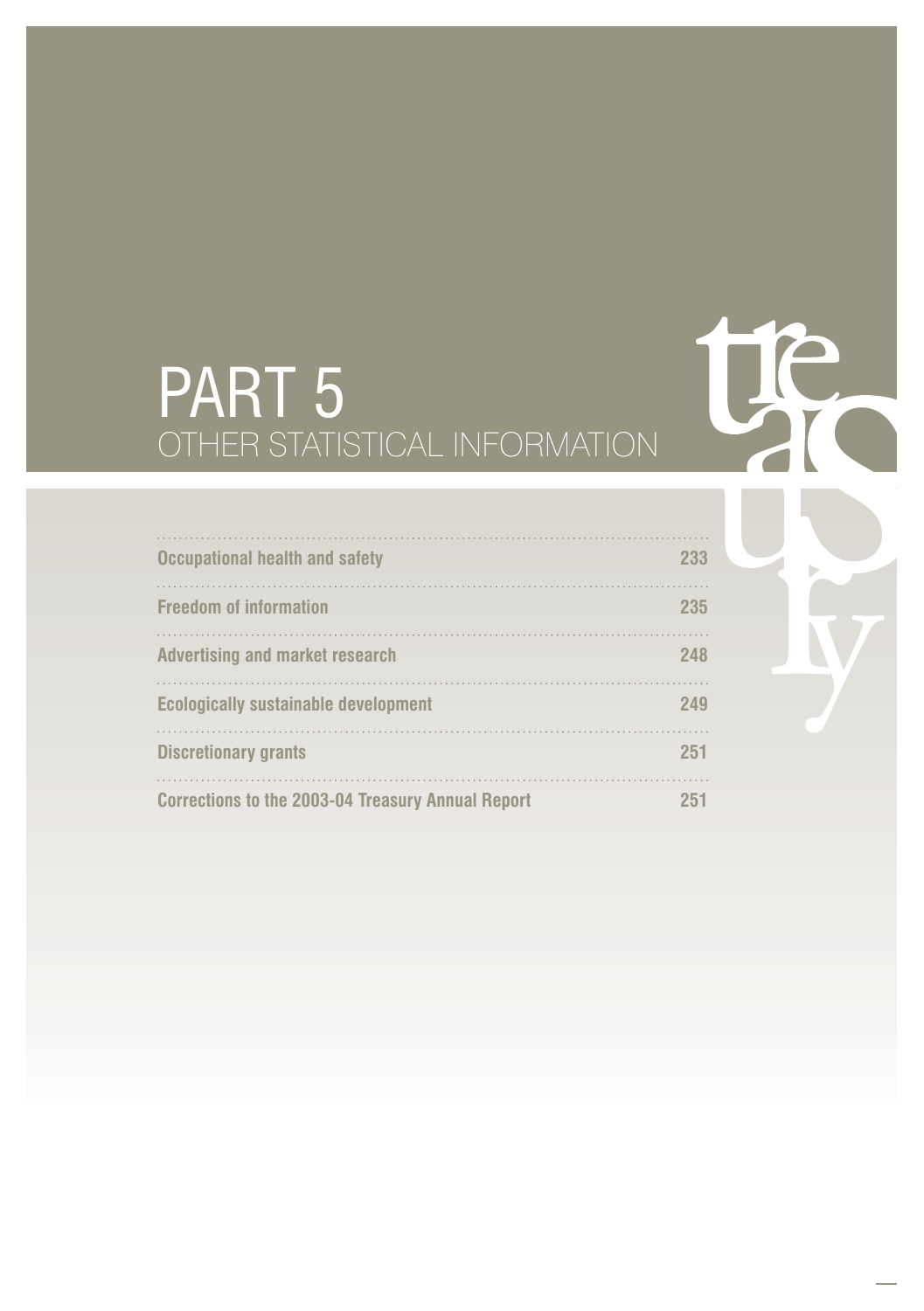# PART 5 OTHER STATISTICAL INFORMATION

te

b

| <b>Occupational health and safety</b>                    | 233 |
|----------------------------------------------------------|-----|
| <b>Freedom of information</b>                            | 235 |
| <b>Advertising and market research</b>                   | 248 |
| <b>Ecologically sustainable development</b>              | 249 |
| <b>Discretionary grants</b>                              | 251 |
| <b>Corrections to the 2003-04 Treasury Annual Report</b> | 251 |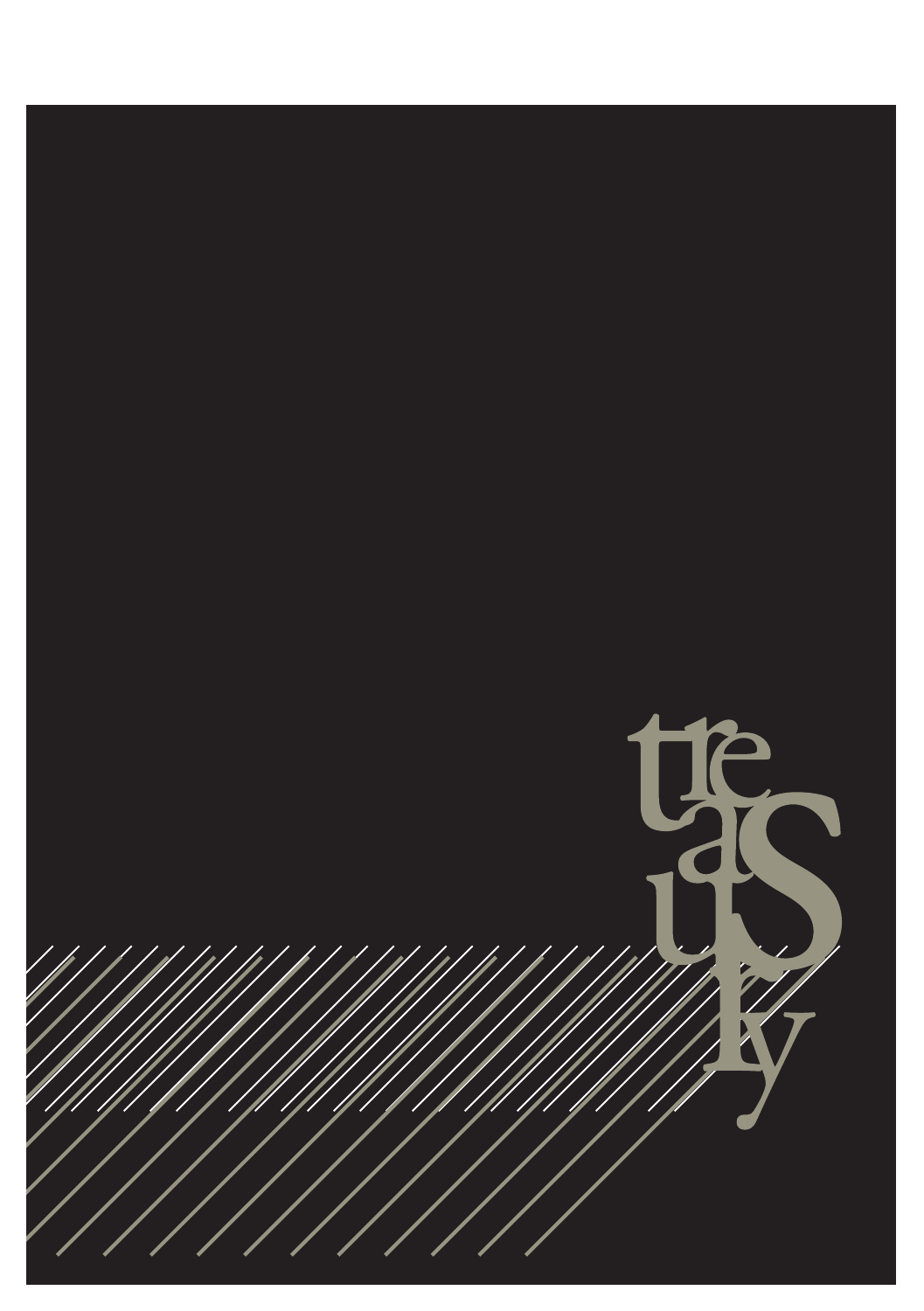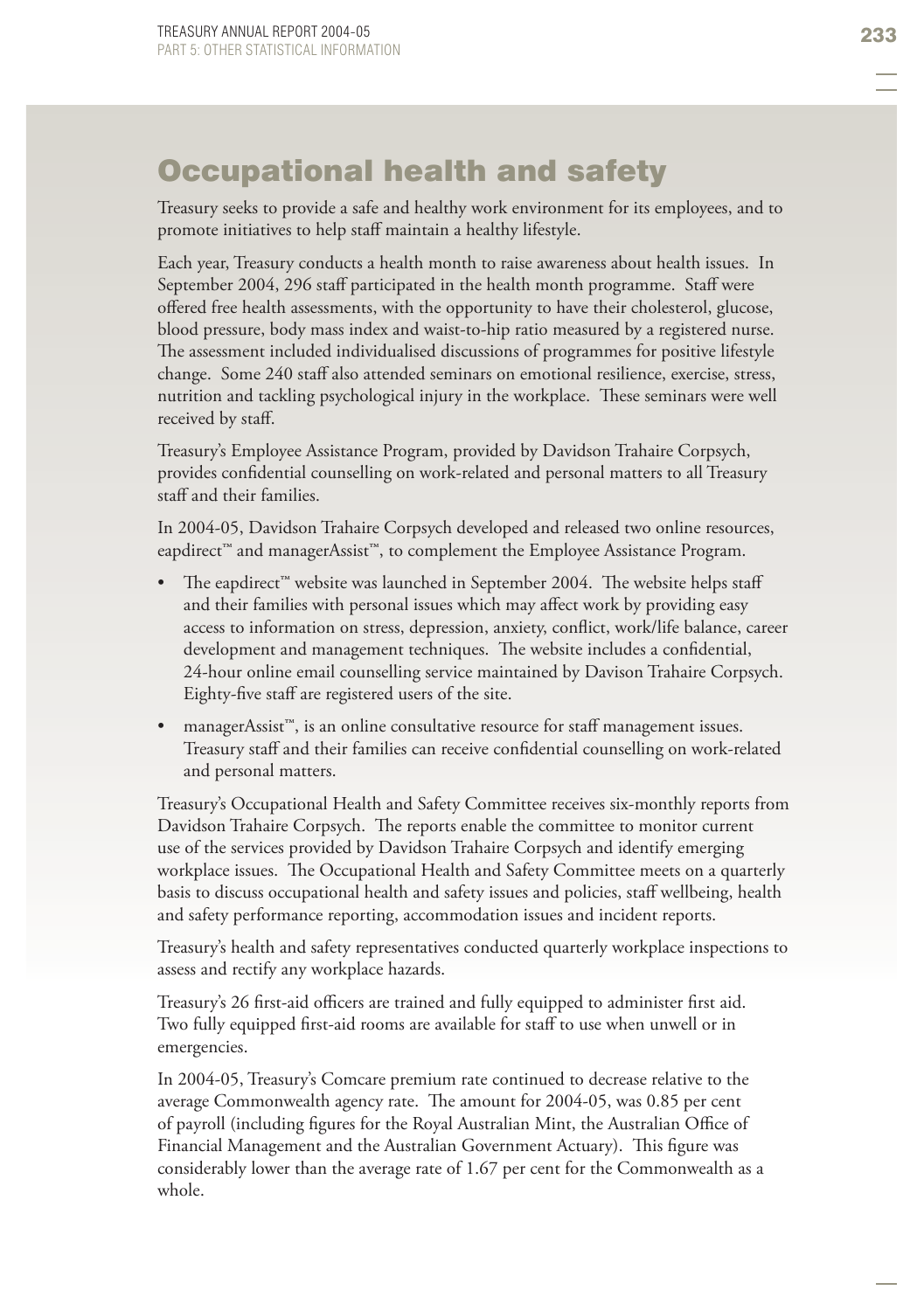# Occupational health and safety

Treasury seeks to provide a safe and healthy work environment for its employees, and to promote initiatives to help staff maintain a healthy lifestyle.

Each year, Treasury conducts a health month to raise awareness about health issues. In September 2004, 296 staff participated in the health month programme. Staff were offered free health assessments, with the opportunity to have their cholesterol, glucose, blood pressure, body mass index and waist-to-hip ratio measured by a registered nurse. The assessment included individualised discussions of programmes for positive lifestyle change. Some 240 staff also attended seminars on emotional resilience, exercise, stress, nutrition and tackling psychological injury in the workplace. These seminars were well received by staff.

Treasury's Employee Assistance Program, provided by Davidson Trahaire Corpsych, provides confidential counselling on work-related and personal matters to all Treasury staff and their families.

In 2004-05, Davidson Trahaire Corpsych developed and released two online resources, eapdirect™ and managerAssist™, to complement the Employee Assistance Program.

- The eapdirect™ website was launched in September 2004. The website helps staff and their families with personal issues which may affect work by providing easy access to information on stress, depression, anxiety, conflict, work/life balance, career development and management techniques. The website includes a confidential, 24-hour online email counselling service maintained by Davison Trahaire Corpsych. Eighty-five staff are registered users of the site. •
- managerAssist™, is an online consultative resource for staff management issues. Treasury staff and their families can receive confidential counselling on work-related and personal matters. •

Treasury's Occupational Health and Safety Committee receives six-monthly reports from Davidson Trahaire Corpsych. The reports enable the committee to monitor current use of the services provided by Davidson Trahaire Corpsych and identify emerging workplace issues. The Occupational Health and Safety Committee meets on a quarterly basis to discuss occupational health and safety issues and policies, staff wellbeing, health and safety performance reporting, accommodation issues and incident reports.

Treasury's health and safety representatives conducted quarterly workplace inspections to assess and rectify any workplace hazards.

Treasury's 26 first-aid officers are trained and fully equipped to administer first aid. Two fully equipped first-aid rooms are available for staff to use when unwell or in emergencies.

In 2004-05, Treasury's Comcare premium rate continued to decrease relative to the average Commonwealth agency rate. The amount for 2004-05, was 0.85 per cent of payroll (including figures for the Royal Australian Mint, the Australian Office of Financial Management and the Australian Government Actuary). This figure was considerably lower than the average rate of 1.67 per cent for the Commonwealth as a whole.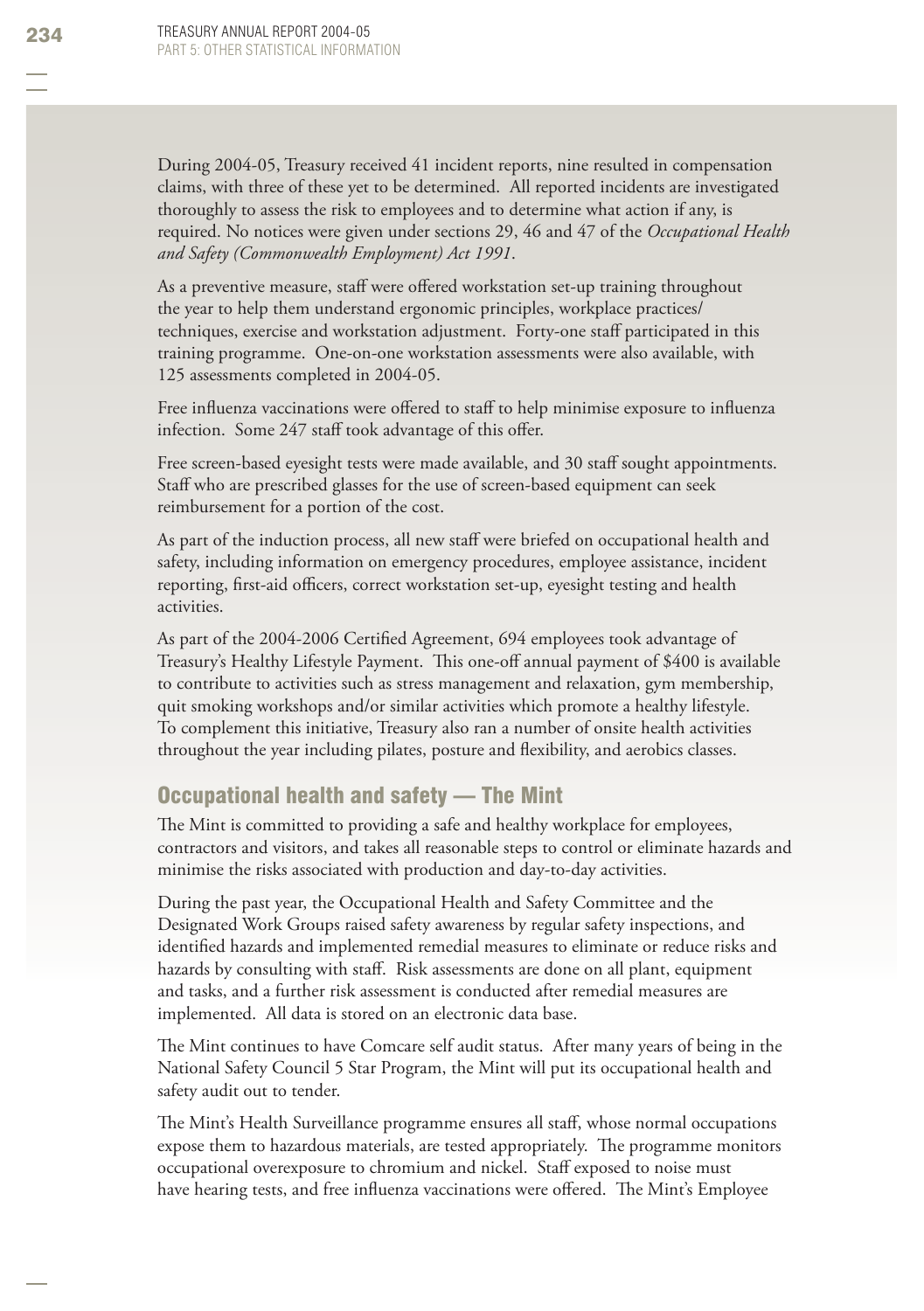During 2004-05, Treasury received 41 incident reports, nine resulted in compensation claims, with three of these yet to be determined. All reported incidents are investigated thoroughly to assess the risk to employees and to determine what action if any, is required. No notices were given under sections 29, 46 and 47 of the *Occupational Health and Safety (Commonwealth Employment) Act 1991*.

As a preventive measure, staff were offered workstation set-up training throughout the year to help them understand ergonomic principles, workplace practices/ techniques, exercise and workstation adjustment. Forty-one staff participated in this training programme. One-on-one workstation assessments were also available, with 125 assessments completed in 2004-05.

Free influenza vaccinations were offered to staff to help minimise exposure to influenza infection. Some 247 staff took advantage of this offer.

Free screen-based eyesight tests were made available, and 30 staff sought appointments. Staff who are prescribed glasses for the use of screen-based equipment can seek reimbursement for a portion of the cost.

As part of the induction process, all new staff were briefed on occupational health and safety, including information on emergency procedures, employee assistance, incident reporting, first-aid officers, correct workstation set-up, eyesight testing and health activities.

As part of the 2004-2006 Certified Agreement, 694 employees took advantage of Treasury's Healthy Lifestyle Payment. This one-off annual payment of \$400 is available to contribute to activities such as stress management and relaxation, gym membership, quit smoking workshops and/or similar activities which promote a healthy lifestyle. To complement this initiative, Treasury also ran a number of onsite health activities throughout the year including pilates, posture and flexibility, and aerobics classes.

### Occupational health and safety — The Mint

The Mint is committed to providing a safe and healthy workplace for employees, contractors and visitors, and takes all reasonable steps to control or eliminate hazards and minimise the risks associated with production and day-to-day activities.

During the past year, the Occupational Health and Safety Committee and the Designated Work Groups raised safety awareness by regular safety inspections, and identified hazards and implemented remedial measures to eliminate or reduce risks and hazards by consulting with staff. Risk assessments are done on all plant, equipment and tasks, and a further risk assessment is conducted after remedial measures are implemented. All data is stored on an electronic data base.

The Mint continues to have Comcare self audit status. After many years of being in the National Safety Council 5 Star Program, the Mint will put its occupational health and safety audit out to tender.

The Mint's Health Surveillance programme ensures all staff, whose normal occupations expose them to hazardous materials, are tested appropriately. The programme monitors occupational overexposure to chromium and nickel. Staff exposed to noise must have hearing tests, and free influenza vaccinations were offered. The Mint's Employee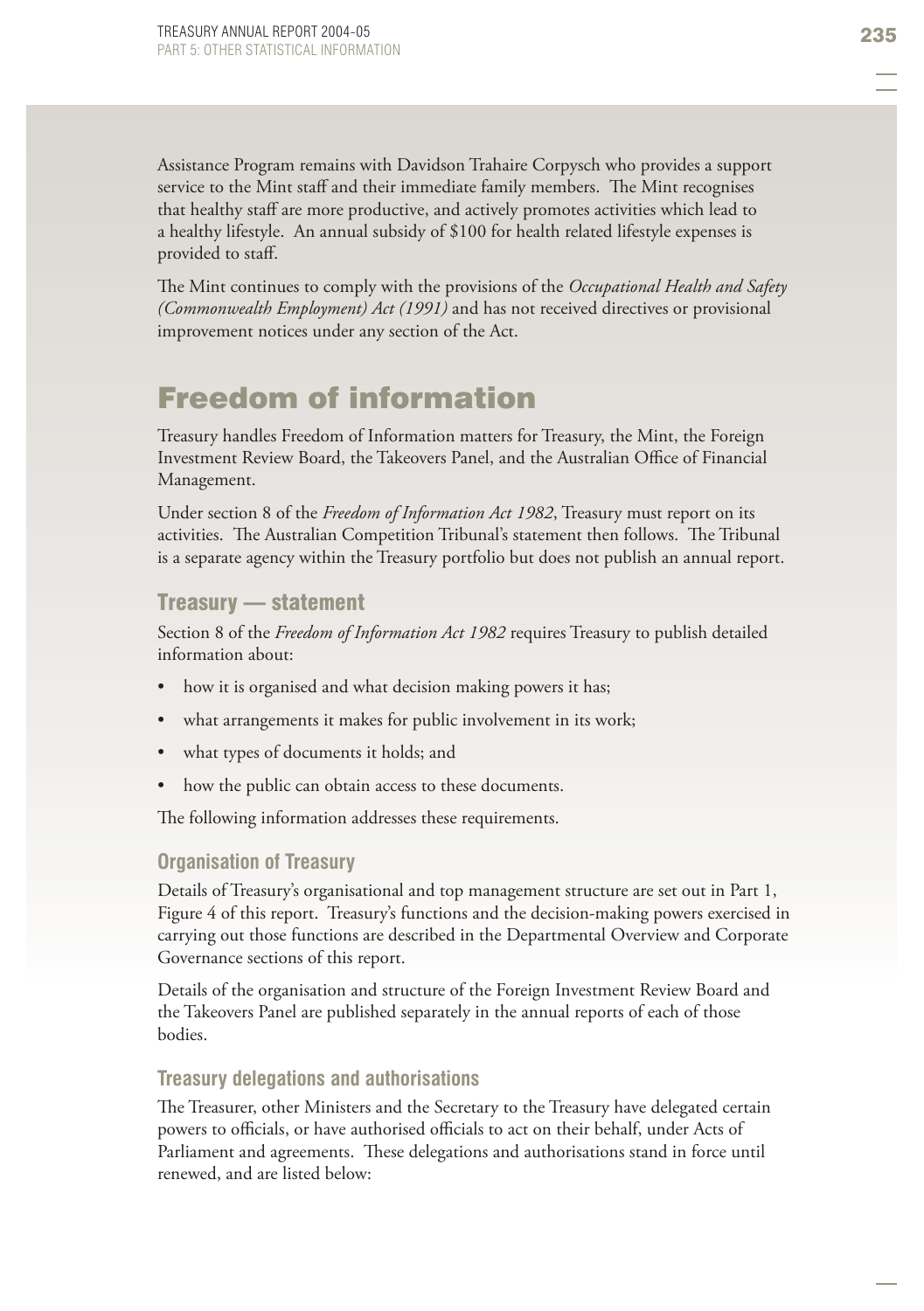Assistance Program remains with Davidson Trahaire Corpysch who provides a support service to the Mint staff and their immediate family members. The Mint recognises that healthy staff are more productive, and actively promotes activities which lead to a healthy lifestyle. An annual subsidy of \$100 for health related lifestyle expenses is provided to staff.

The Mint continues to comply with the provisions of the *Occupational Health and Safety (Commonwealth Employment) Act (1991)* and has not received directives or provisional improvement notices under any section of the Act.

# Freedom of information

Treasury handles Freedom of Information matters for Treasury, the Mint, the Foreign Investment Review Board, the Takeovers Panel, and the Australian Office of Financial Management.

Under section 8 of the *Freedom of Information Act 1982*, Treasury must report on its activities. The Australian Competition Tribunal's statement then follows. The Tribunal is a separate agency within the Treasury portfolio but does not publish an annual report.

#### Treasury — statement

Section 8 of the *Freedom of Information Act 1982* requires Treasury to publish detailed information about:

- how it is organised and what decision making powers it has; •
- what arrangements it makes for public involvement in its work; •
- what types of documents it holds; and •
- how the public can obtain access to these documents. •

The following information addresses these requirements.

#### **Organisation of Treasury**

Details of Treasury's organisational and top management structure are set out in Part 1, Figure 4 of this report. Treasury's functions and the decision-making powers exercised in carrying out those functions are described in the Departmental Overview and Corporate Governance sections of this report.

Details of the organisation and structure of the Foreign Investment Review Board and the Takeovers Panel are published separately in the annual reports of each of those bodies.

#### **Treasury delegations and authorisations**

The Treasurer, other Ministers and the Secretary to the Treasury have delegated certain powers to officials, or have authorised officials to act on their behalf, under Acts of Parliament and agreements. These delegations and authorisations stand in force until renewed, and are listed below: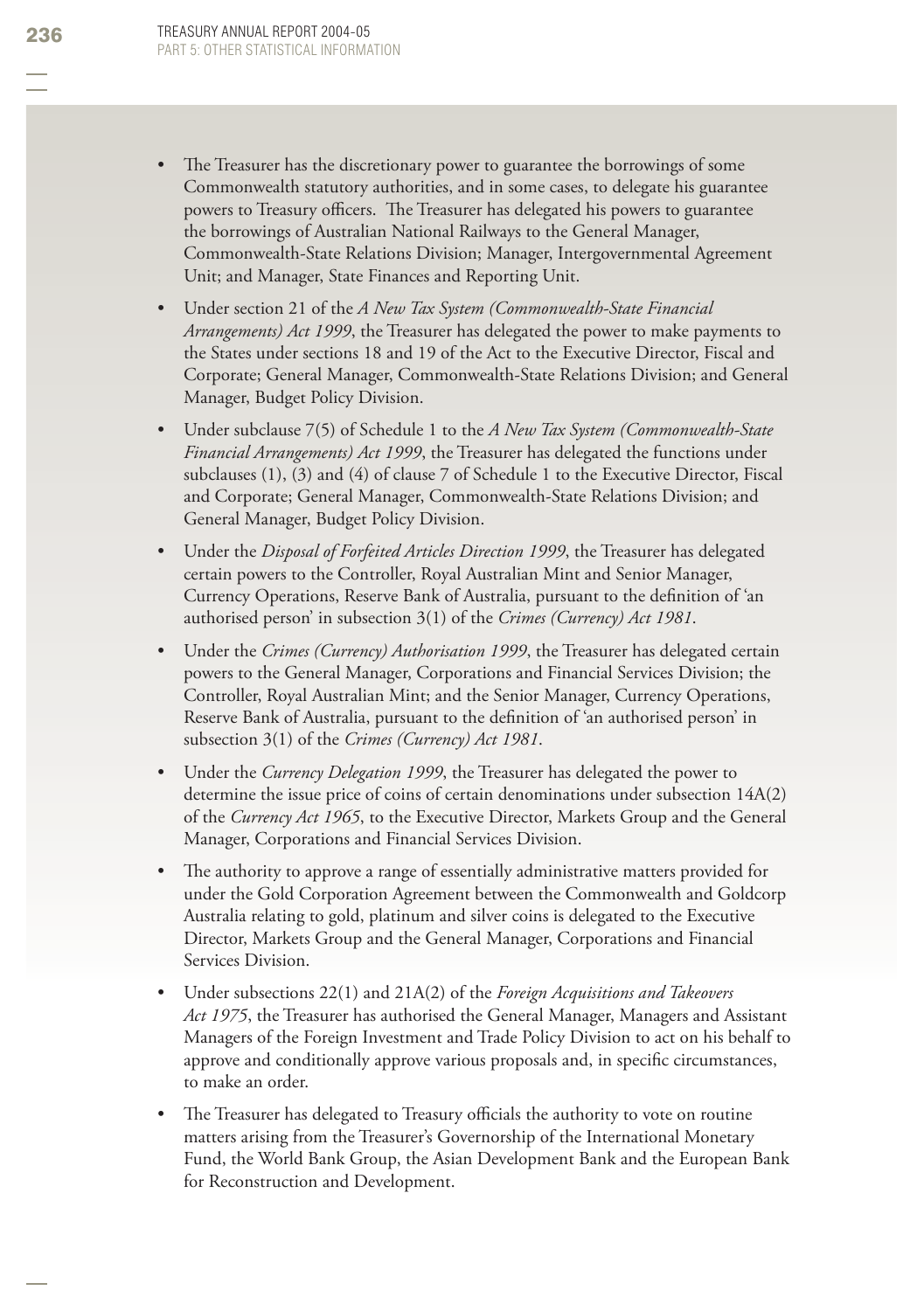- The Treasurer has the discretionary power to guarantee the borrowings of some Commonwealth statutory authorities, and in some cases, to delegate his guarantee powers to Treasury officers. The Treasurer has delegated his powers to guarantee the borrowings of Australian National Railways to the General Manager, Commonwealth-State Relations Division; Manager, Intergovernmental Agreement Unit; and Manager, State Finances and Reporting Unit. •
- Under section 21 of the *A New Tax System (Commonwealth-State Financial Arrangements) Act 1999*, the Treasurer has delegated the power to make payments to the States under sections 18 and 19 of the Act to the Executive Director, Fiscal and Corporate; General Manager, Commonwealth-State Relations Division; and General Manager, Budget Policy Division. •
- Under subclause 7(5) of Schedule 1 to the *A New Tax System (Commonwealth-State Financial Arrangements) Act 1999*, the Treasurer has delegated the functions under subclauses (1), (3) and (4) of clause 7 of Schedule 1 to the Executive Director, Fiscal and Corporate; General Manager, Commonwealth-State Relations Division; and General Manager, Budget Policy Division.
- Under the *Disposal of Forfeited Articles Direction 1999*, the Treasurer has delegated certain powers to the Controller, Royal Australian Mint and Senior Manager, Currency Operations, Reserve Bank of Australia, pursuant to the definition of 'an authorised person' in subsection 3(1) of the *Crimes (Currency) Act 1981*. •
- Under the *Crimes (Currency) Authorisation 1999*, the Treasurer has delegated certain powers to the General Manager, Corporations and Financial Services Division; the Controller, Royal Australian Mint; and the Senior Manager, Currency Operations, Reserve Bank of Australia, pursuant to the definition of 'an authorised person' in subsection 3(1) of the *Crimes (Currency) Act 1981*. •
- Under the *Currency Delegation 1999*, the Treasurer has delegated the power to determine the issue price of coins of certain denominations under subsection 14A(2) of the *Currency Act 1965*, to the Executive Director, Markets Group and the General Manager, Corporations and Financial Services Division. •
- The authority to approve a range of essentially administrative matters provided for under the Gold Corporation Agreement between the Commonwealth and Goldcorp Australia relating to gold, platinum and silver coins is delegated to the Executive Director, Markets Group and the General Manager, Corporations and Financial Services Division. •
- Under subsections 22(1) and 21A(2) of the *Foreign Acquisitions and Takeovers Act 1975*, the Treasurer has authorised the General Manager, Managers and Assistant Managers of the Foreign Investment and Trade Policy Division to act on his behalf to approve and conditionally approve various proposals and, in specific circumstances, to make an order. •
- The Treasurer has delegated to Treasury officials the authority to vote on routine matters arising from the Treasurer's Governorship of the International Monetary Fund, the World Bank Group, the Asian Development Bank and the European Bank for Reconstruction and Development. •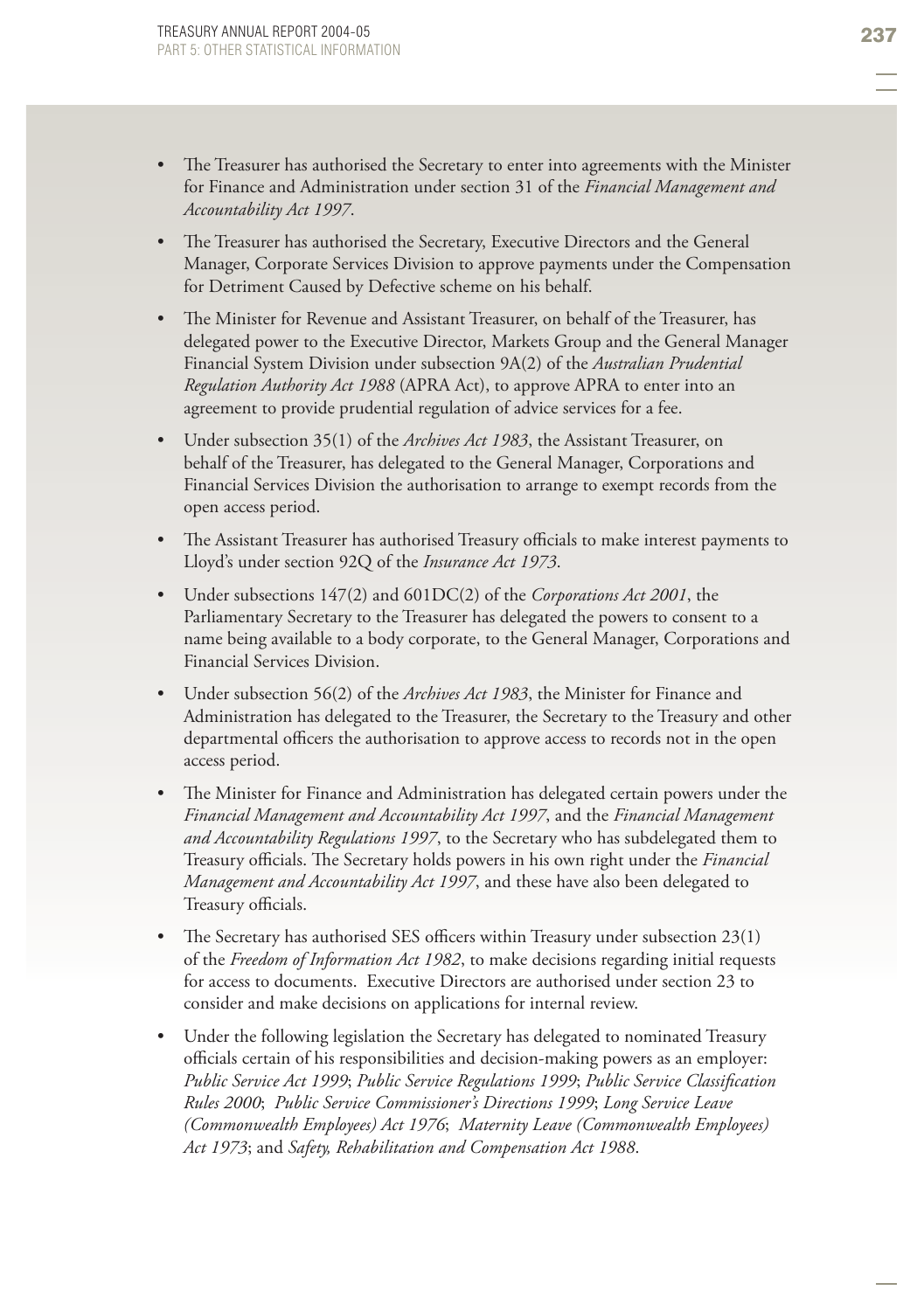- The Treasurer has authorised the Secretary to enter into agreements with the Minister for Finance and Administration under section 31 of the *Financial Management and Accountability Act 1997*. •
- The Treasurer has authorised the Secretary, Executive Directors and the General Manager, Corporate Services Division to approve payments under the Compensation for Detriment Caused by Defective scheme on his behalf. •
- The Minister for Revenue and Assistant Treasurer, on behalf of the Treasurer, has delegated power to the Executive Director, Markets Group and the General Manager Financial System Division under subsection 9A(2) of the *Australian Prudential Regulation Authority Act 1988* (APRA Act), to approve APRA to enter into an agreement to provide prudential regulation of advice services for a fee. •
- Under subsection 35(1) of the *Archives Act 1983*, the Assistant Treasurer, on behalf of the Treasurer, has delegated to the General Manager, Corporations and Financial Services Division the authorisation to arrange to exempt records from the open access period. •
- The Assistant Treasurer has authorised Treasury officials to make interest payments to Lloyd's under section 92Q of the *Insurance Act 1973*. •
- Under subsections 147(2) and 601DC(2) of the *Corporations Act 2001*, the Parliamentary Secretary to the Treasurer has delegated the powers to consent to a name being available to a body corporate, to the General Manager, Corporations and Financial Services Division.
- Under subsection 56(2) of the *Archives Act 1983*, the Minister for Finance and Administration has delegated to the Treasurer, the Secretary to the Treasury and other departmental officers the authorisation to approve access to records not in the open access period. •
- The Minister for Finance and Administration has delegated certain powers under the *Financial Management and Accountability Act 1997*, and the *Financial Management and Accountability Regulations 1997*, to the Secretary who has subdelegated them to Treasury officials. The Secretary holds powers in his own right under the *Financial Management and Accountability Act 1997*, and these have also been delegated to Treasury officials. •
- The Secretary has authorised SES officers within Treasury under subsection  $23(1)$ of the *Freedom of Information Act 1982*, to make decisions regarding initial requests for access to documents. Executive Directors are authorised under section 23 to consider and make decisions on applications for internal review. •
- Under the following legislation the Secretary has delegated to nominated Treasury officials certain of his responsibilities and decision-making powers as an employer: *Public Service Act 1999; Public Service Regulations 1999; Public Service Classification Rules 2000*; *Public Service Commissioner's Directions 1999*; *Long Service Leave (Commonwealth Employees) Act 1976*; *Maternity Leave (Commonwealth Employees) Act 1973*; and *Safety, Rehabilitation and Compensation Act 1988*. •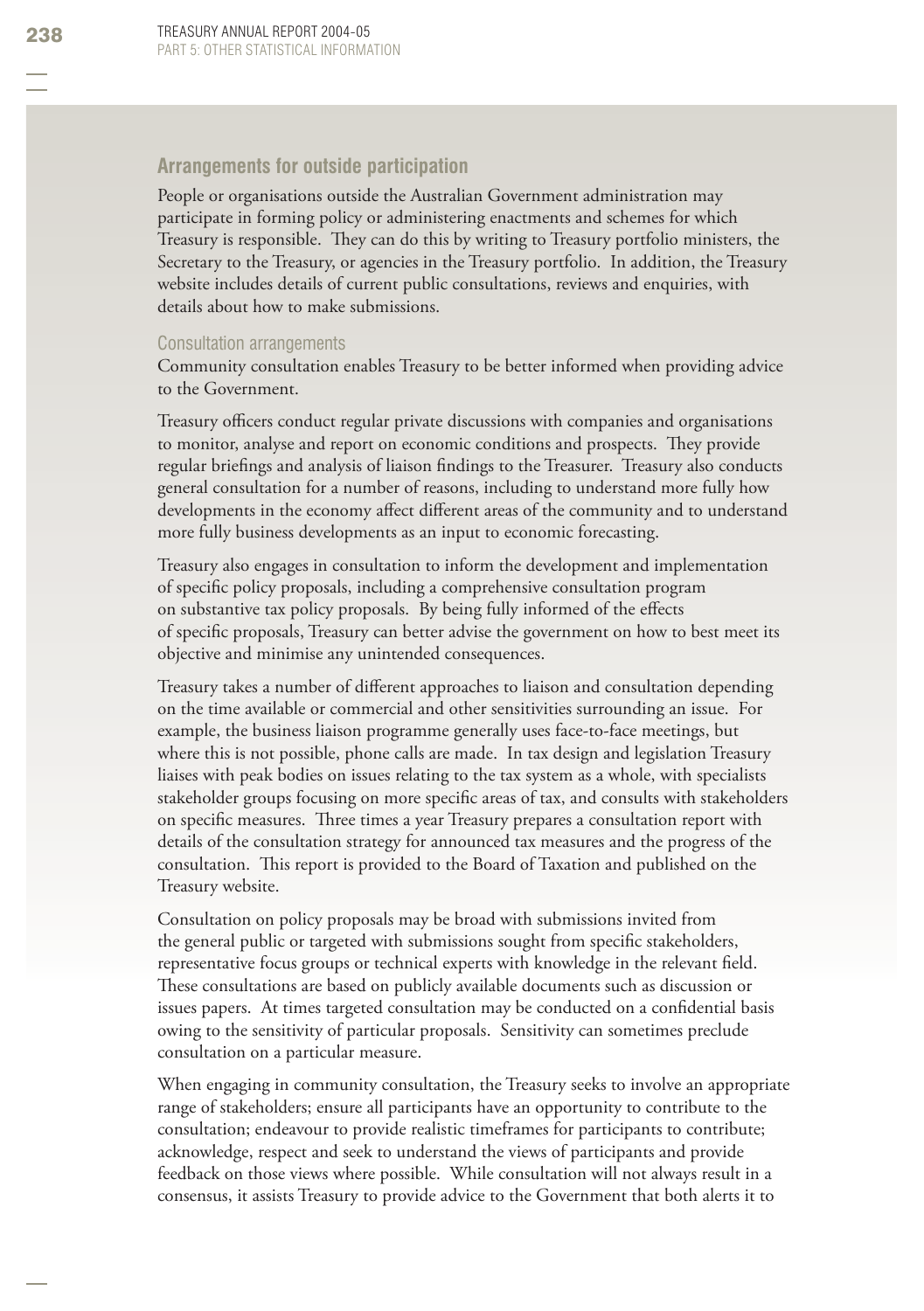#### **Arrangements for outside participation**

People or organisations outside the Australian Government administration may participate in forming policy or administering enactments and schemes for which Treasury is responsible. They can do this by writing to Treasury portfolio ministers, the Secretary to the Treasury, or agencies in the Treasury portfolio. In addition, the Treasury website includes details of current public consultations, reviews and enquiries, with details about how to make submissions.

#### Consultation arrangements

Community consultation enables Treasury to be better informed when providing advice to the Government.

Treasury officers conduct regular private discussions with companies and organisations to monitor, analyse and report on economic conditions and prospects. They provide regular briefings and analysis of liaison findings to the Treasurer. Treasury also conducts general consultation for a number of reasons, including to understand more fully how developments in the economy affect different areas of the community and to understand more fully business developments as an input to economic forecasting.

Treasury also engages in consultation to inform the development and implementation of specific policy proposals, including a comprehensive consultation program on substantive tax policy proposals. By being fully informed of the effects of specifi c proposals, Treasury can better advise the government on how to best meet its objective and minimise any unintended consequences.

Treasury takes a number of different approaches to liaison and consultation depending on the time available or commercial and other sensitivities surrounding an issue. For example, the business liaison programme generally uses face-to-face meetings, but where this is not possible, phone calls are made. In tax design and legislation Treasury liaises with peak bodies on issues relating to the tax system as a whole, with specialists stakeholder groups focusing on more specific areas of tax, and consults with stakeholders on specific measures. Three times a year Treasury prepares a consultation report with details of the consultation strategy for announced tax measures and the progress of the consultation. This report is provided to the Board of Taxation and published on the Treasury website.

Consultation on policy proposals may be broad with submissions invited from the general public or targeted with submissions sought from specific stakeholders, representative focus groups or technical experts with knowledge in the relevant field. These consultations are based on publicly available documents such as discussion or issues papers. At times targeted consultation may be conducted on a confidential basis owing to the sensitivity of particular proposals. Sensitivity can sometimes preclude consultation on a particular measure.

When engaging in community consultation, the Treasury seeks to involve an appropriate range of stakeholders; ensure all participants have an opportunity to contribute to the consultation; endeavour to provide realistic timeframes for participants to contribute; acknowledge, respect and seek to understand the views of participants and provide feedback on those views where possible. While consultation will not always result in a consensus, it assists Treasury to provide advice to the Government that both alerts it to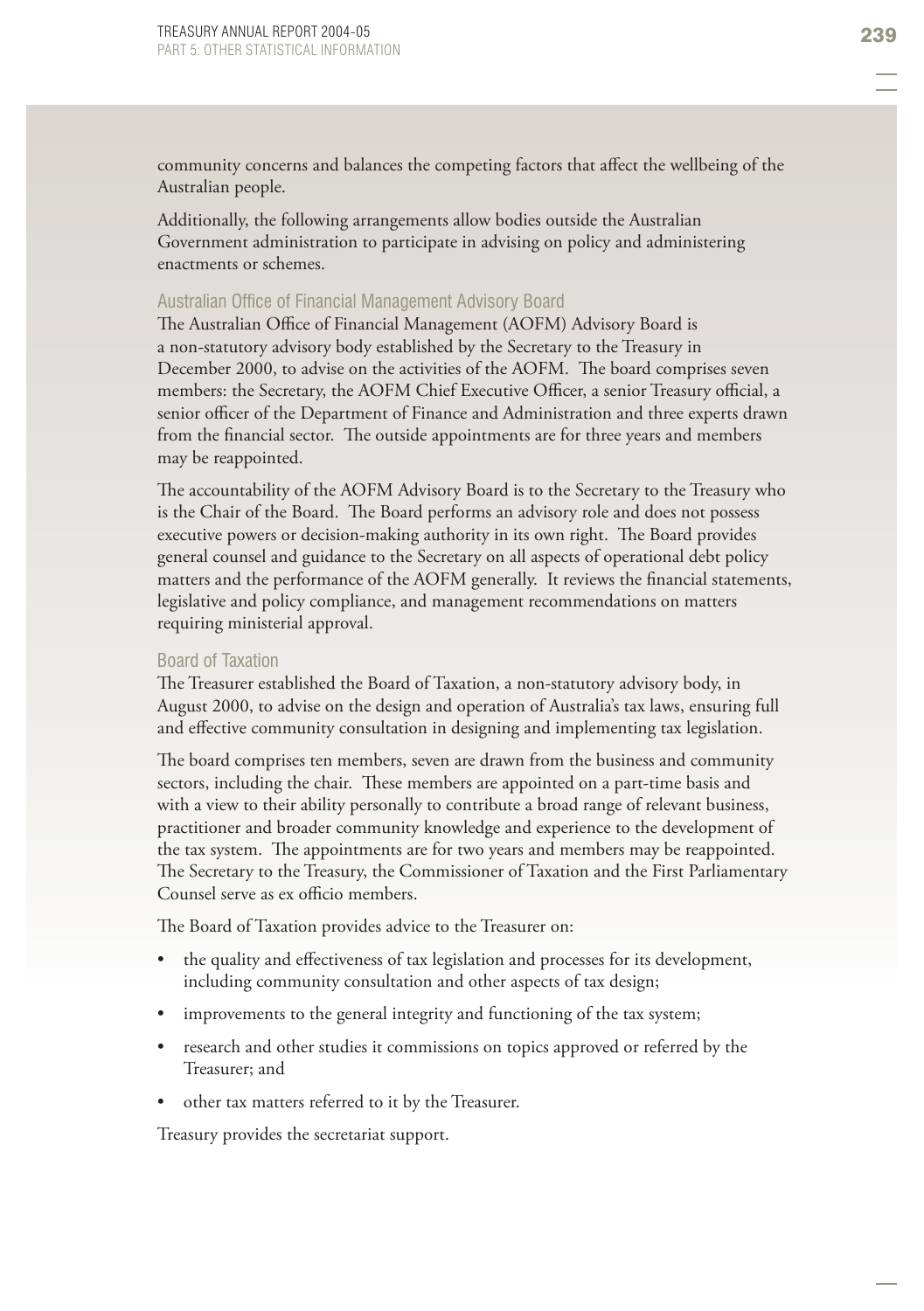community concerns and balances the competing factors that affect the wellbeing of the Australian people.

Additionally, the following arrangements allow bodies outside the Australian Government administration to participate in advising on policy and administering enactments or schemes.

#### Australian Office of Financial Management Advisory Board

The Australian Office of Financial Management (AOFM) Advisory Board is a non-statutory advisory body established by the Secretary to the Treasury in December 2000, to advise on the activities of the AOFM. The board comprises seven members: the Secretary, the AOFM Chief Executive Officer, a senior Treasury official, a senior officer of the Department of Finance and Administration and three experts drawn from the financial sector. The outside appointments are for three years and members may be reappointed.

The accountability of the AOFM Advisory Board is to the Secretary to the Treasury who is the Chair of the Board. The Board performs an advisory role and does not possess executive powers or decision-making authority in its own right. The Board provides general counsel and guidance to the Secretary on all aspects of operational debt policy matters and the performance of the AOFM generally. It reviews the financial statements, legislative and policy compliance, and management recommendations on matters requiring ministerial approval.

#### Board of Taxation

The Treasurer established the Board of Taxation, a non-statutory advisory body, in August 2000, to advise on the design and operation of Australia's tax laws, ensuring full and effective community consultation in designing and implementing tax legislation.

The board comprises ten members, seven are drawn from the business and community sectors, including the chair. These members are appointed on a part-time basis and with a view to their ability personally to contribute a broad range of relevant business, practitioner and broader community knowledge and experience to the development of the tax system. The appointments are for two years and members may be reappointed. The Secretary to the Treasury, the Commissioner of Taxation and the First Parliamentary Counsel serve as ex officio members.

The Board of Taxation provides advice to the Treasurer on:

- the quality and effectiveness of tax legislation and processes for its development, including community consultation and other aspects of tax design; •
- improvements to the general integrity and functioning of the tax system; •
- research and other studies it commissions on topics approved or referred by the Treasurer; and •
- other tax matters referred to it by the Treasurer. •

Treasury provides the secretariat support.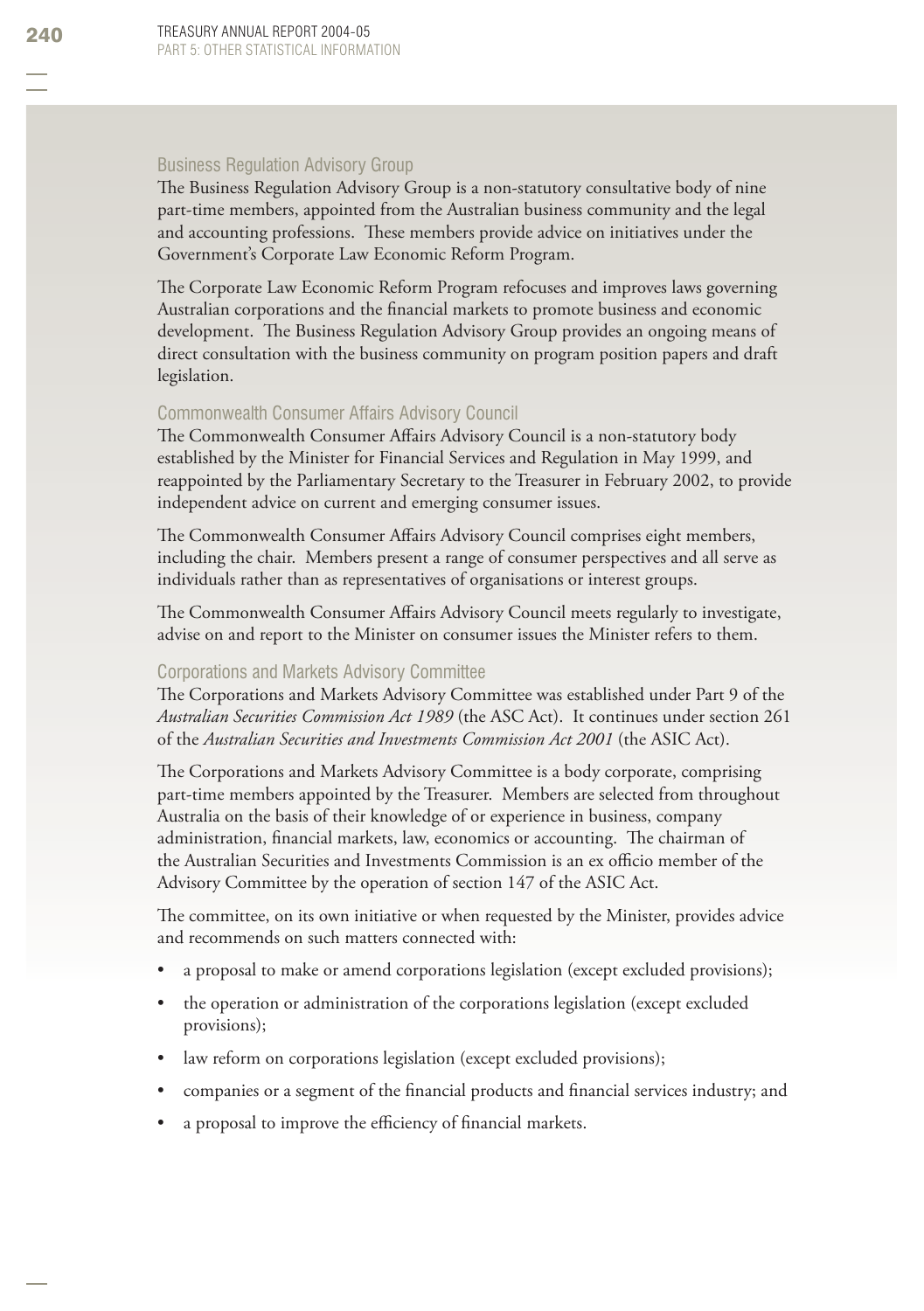#### Business Regulation Advisory Group

The Business Regulation Advisory Group is a non-statutory consultative body of nine part-time members, appointed from the Australian business community and the legal and accounting professions. These members provide advice on initiatives under the Government's Corporate Law Economic Reform Program.

The Corporate Law Economic Reform Program refocuses and improves laws governing Australian corporations and the financial markets to promote business and economic development. The Business Regulation Advisory Group provides an ongoing means of direct consultation with the business community on program position papers and draft legislation.

#### Commonwealth Consumer Affairs Advisory Council

The Commonwealth Consumer Affairs Advisory Council is a non-statutory body established by the Minister for Financial Services and Regulation in May 1999, and reappointed by the Parliamentary Secretary to the Treasurer in February 2002, to provide independent advice on current and emerging consumer issues.

The Commonwealth Consumer Affairs Advisory Council comprises eight members, including the chair. Members present a range of consumer perspectives and all serve as individuals rather than as representatives of organisations or interest groups.

The Commonwealth Consumer Affairs Advisory Council meets regularly to investigate, advise on and report to the Minister on consumer issues the Minister refers to them.

#### Corporations and Markets Advisory Committee

The Corporations and Markets Advisory Committee was established under Part 9 of the *Australian Securities Commission Act 1989* (the ASC Act). It continues under section 261 of the *Australian Securities and Investments Commission Act 2001* (the ASIC Act).

The Corporations and Markets Advisory Committee is a body corporate, comprising part-time members appointed by the Treasurer. Members are selected from throughout Australia on the basis of their knowledge of or experience in business, company administration, financial markets, law, economics or accounting. The chairman of the Australian Securities and Investments Commission is an ex officio member of the Advisory Committee by the operation of section 147 of the ASIC Act.

The committee, on its own initiative or when requested by the Minister, provides advice and recommends on such matters connected with:

- a proposal to make or amend corporations legislation (except excluded provisions); •
- the operation or administration of the corporations legislation (except excluded provisions); •
- law reform on corporations legislation (except excluded provisions); •
- companies or a segment of the financial products and financial services industry; and •
- a proposal to improve the efficiency of financial markets. •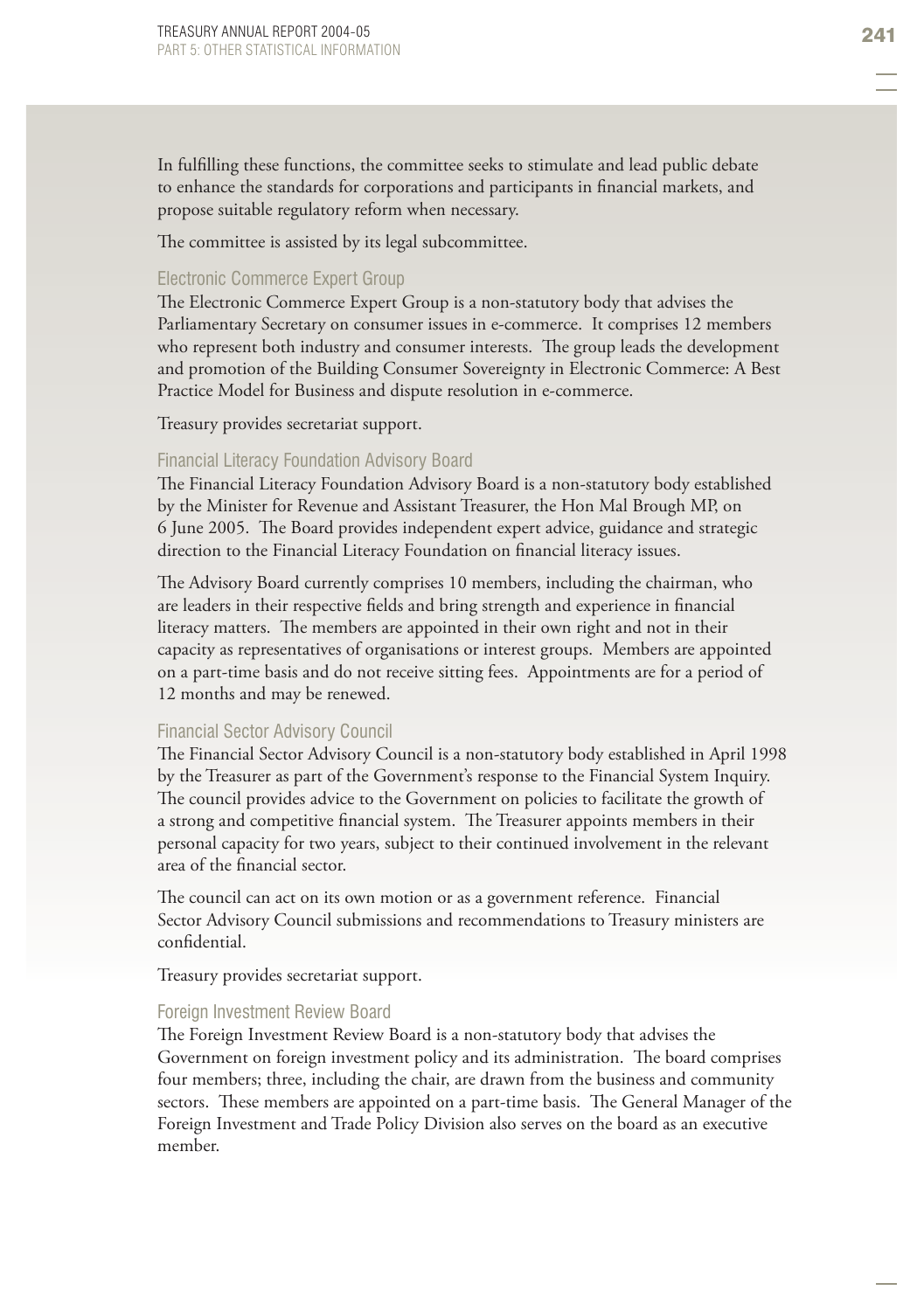In fulfilling these functions, the committee seeks to stimulate and lead public debate to enhance the standards for corporations and participants in financial markets, and propose suitable regulatory reform when necessary.

The committee is assisted by its legal subcommittee.

#### Electronic Commerce Expert Group

The Electronic Commerce Expert Group is a non-statutory body that advises the Parliamentary Secretary on consumer issues in e-commerce. It comprises 12 members who represent both industry and consumer interests. The group leads the development and promotion of the Building Consumer Sovereignty in Electronic Commerce: A Best Practice Model for Business and dispute resolution in e-commerce.

Treasury provides secretariat support.

#### Financial Literacy Foundation Advisory Board

The Financial Literacy Foundation Advisory Board is a non-statutory body established by the Minister for Revenue and Assistant Treasurer, the Hon Mal Brough MP, on 6 June 2005. The Board provides independent expert advice, guidance and strategic direction to the Financial Literacy Foundation on financial literacy issues.

The Advisory Board currently comprises 10 members, including the chairman, who are leaders in their respective fields and bring strength and experience in financial literacy matters. The members are appointed in their own right and not in their capacity as representatives of organisations or interest groups. Members are appointed on a part-time basis and do not receive sitting fees. Appointments are for a period of 12 months and may be renewed.

#### Financial Sector Advisory Council

The Financial Sector Advisory Council is a non-statutory body established in April 1998 by the Treasurer as part of the Government's response to the Financial System Inquiry. The council provides advice to the Government on policies to facilitate the growth of a strong and competitive financial system. The Treasurer appoints members in their personal capacity for two years, subject to their continued involvement in the relevant area of the financial sector.

The council can act on its own motion or as a government reference. Financial Sector Advisory Council submissions and recommendations to Treasury ministers are confidential

Treasury provides secretariat support.

#### Foreign Investment Review Board

The Foreign Investment Review Board is a non-statutory body that advises the Government on foreign investment policy and its administration. The board comprises four members; three, including the chair, are drawn from the business and community sectors. These members are appointed on a part-time basis. The General Manager of the Foreign Investment and Trade Policy Division also serves on the board as an executive member.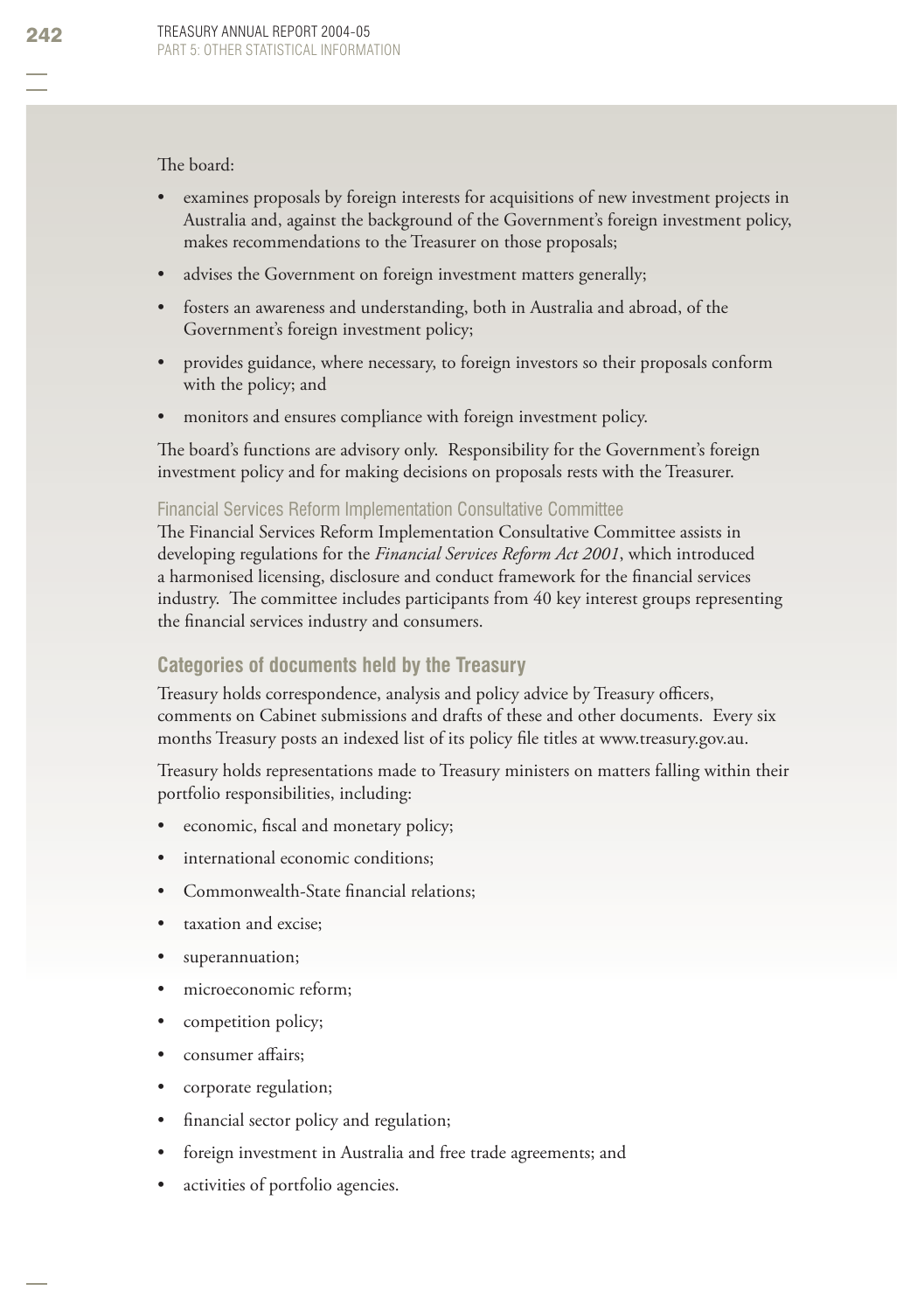#### The board:

- examines proposals by foreign interests for acquisitions of new investment projects in Australia and, against the background of the Government's foreign investment policy, makes recommendations to the Treasurer on those proposals; •
- advises the Government on foreign investment matters generally; •
- fosters an awareness and understanding, both in Australia and abroad, of the Government's foreign investment policy; •
- provides guidance, where necessary, to foreign investors so their proposals conform with the policy; and •
- monitors and ensures compliance with foreign investment policy. •

The board's functions are advisory only. Responsibility for the Government's foreign investment policy and for making decisions on proposals rests with the Treasurer.

#### Financial Services Reform Implementation Consultative Committee

The Financial Services Reform Implementation Consultative Committee assists in developing regulations for the *Financial Services Reform Act 2001*, which introduced a harmonised licensing, disclosure and conduct framework for the financial services industry. The committee includes participants from 40 key interest groups representing the financial services industry and consumers.

### **Categories of documents held by the Treasury**

Treasury holds correspondence, analysis and policy advice by Treasury officers, comments on Cabinet submissions and drafts of these and other documents. Every six months Treasury posts an indexed list of its policy file titles at www.treasury.gov.au.

Treasury holds representations made to Treasury ministers on matters falling within their portfolio responsibilities, including:

- economic, fiscal and monetary policy; •
- international economic conditions; •
- Commonwealth-State financial relations; •
- taxation and excise; •
- superannuation; •
- microeconomic reform; •
- competition policy; •
- consumer affairs: •
- corporate regulation; •
- financial sector policy and regulation; •
- foreign investment in Australia and free trade agreements; and •
- activities of portfolio agencies. •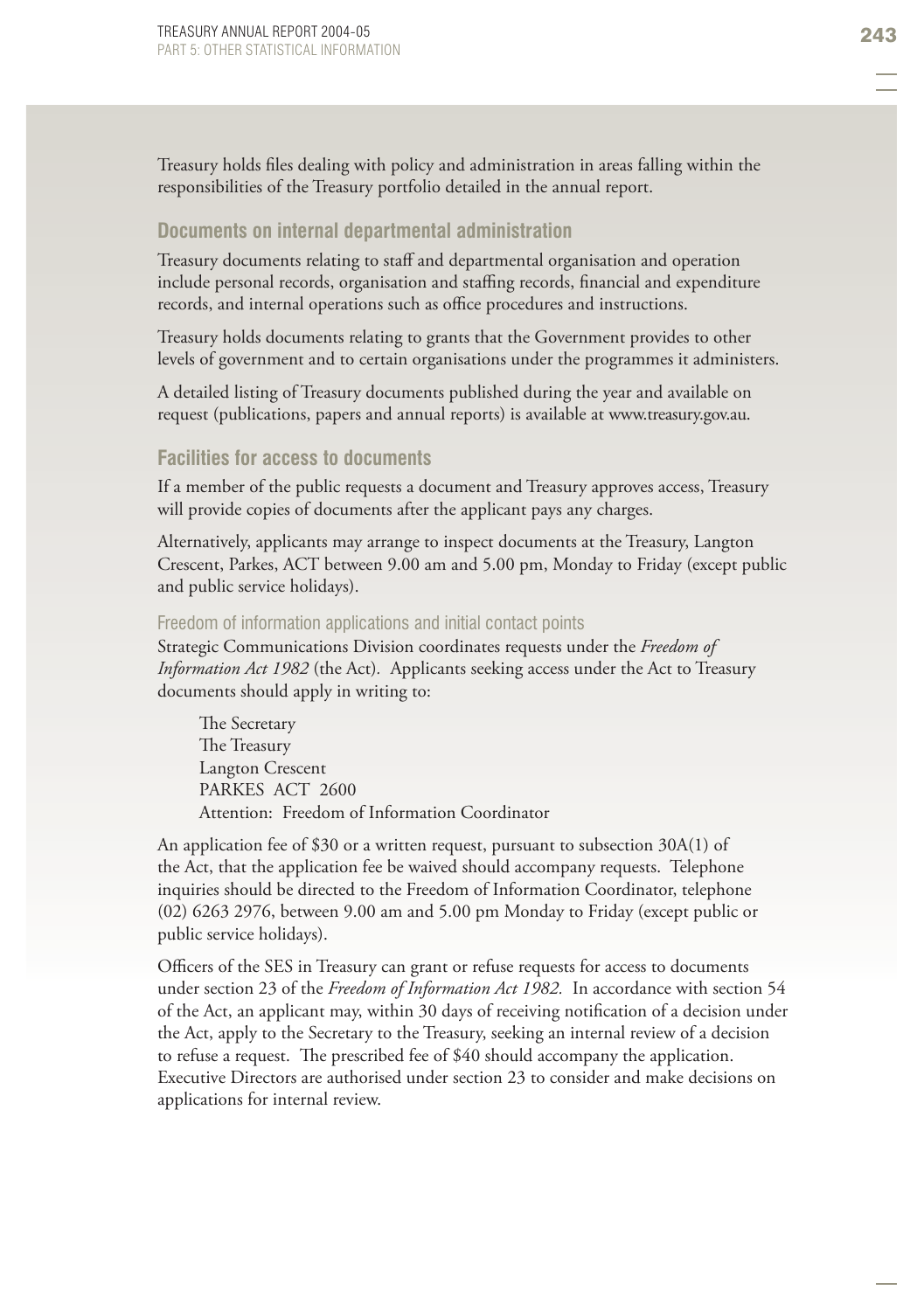Treasury holds files dealing with policy and administration in areas falling within the responsibilities of the Treasury portfolio detailed in the annual report.

#### **Documents on internal departmental administration**

Treasury documents relating to staff and departmental organisation and operation include personal records, organisation and staffing records, financial and expenditure records, and internal operations such as office procedures and instructions.

Treasury holds documents relating to grants that the Government provides to other levels of government and to certain organisations under the programmes it administers.

A detailed listing of Treasury documents published during the year and available on request (publications, papers and annual reports) is available at www.treasury.gov.au.

#### **Facilities for access to documents**

If a member of the public requests a document and Treasury approves access, Treasury will provide copies of documents after the applicant pays any charges.

Alternatively, applicants may arrange to inspect documents at the Treasury, Langton Crescent, Parkes, ACT between 9.00 am and 5.00 pm, Monday to Friday (except public and public service holidays).

#### Freedom of information applications and initial contact points

Strategic Communications Division coordinates requests under the *Freedom of Information Act 1982* (the Act)*.* Applicants seeking access under the Act to Treasury documents should apply in writing to:

The Secretary The Treasury Langton Crescent PARKES ACT 2600 Attention: Freedom of Information Coordinator

An application fee of \$30 or a written request, pursuant to subsection 30A(1) of the Act, that the application fee be waived should accompany requests. Telephone inquiries should be directed to the Freedom of Information Coordinator, telephone (02) 6263 2976, between 9.00 am and 5.00 pm Monday to Friday (except public or public service holidays).

Officers of the SES in Treasury can grant or refuse requests for access to documents under section 23 of the *Freedom of Information Act 1982.* In accordance with section 54 of the Act, an applicant may, within 30 days of receiving notification of a decision under the Act, apply to the Secretary to the Treasury, seeking an internal review of a decision to refuse a request. The prescribed fee of \$40 should accompany the application. Executive Directors are authorised under section 23 to consider and make decisions on applications for internal review.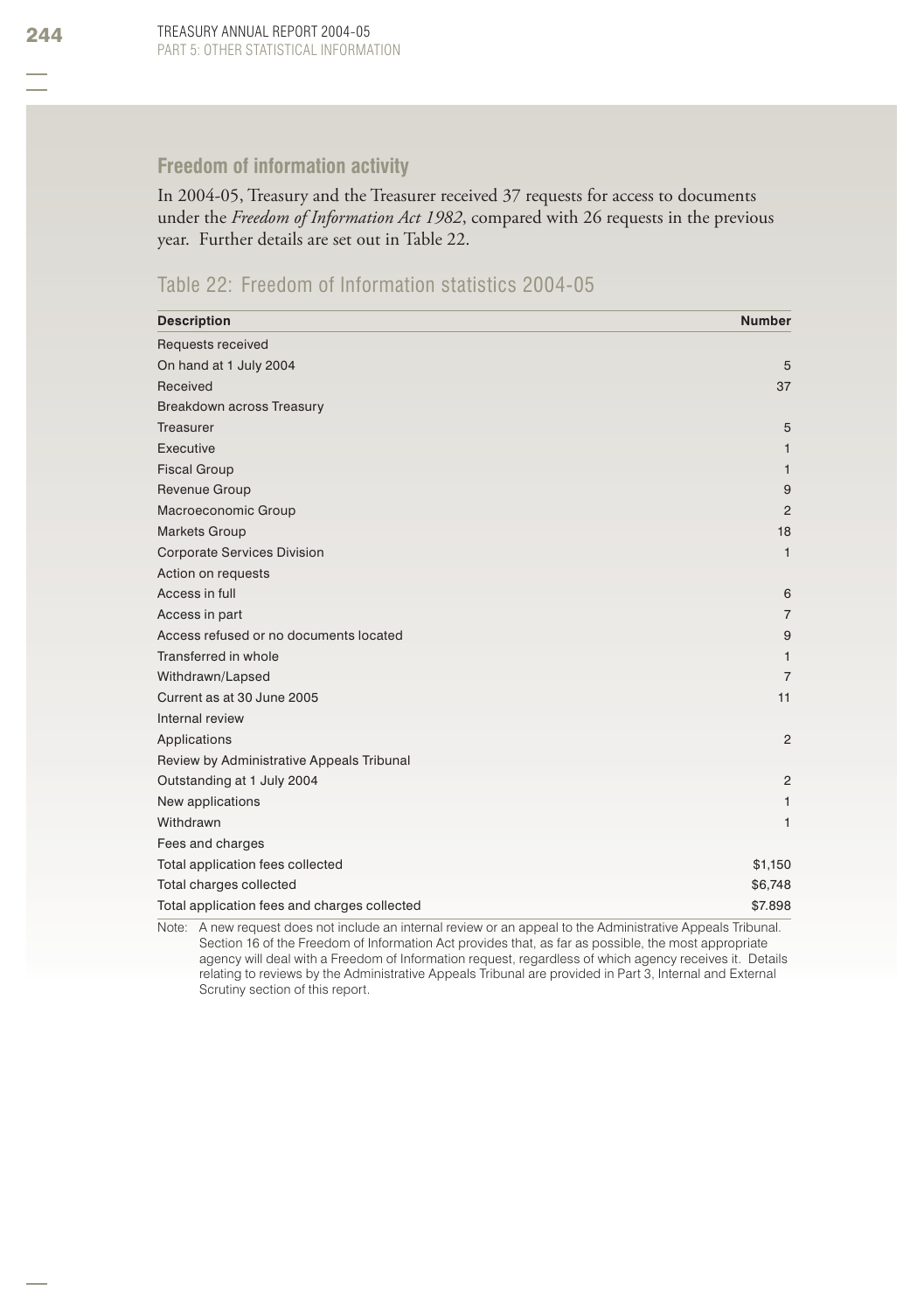### **Freedom of information activity**

In 2004-05, Treasury and the Treasurer received 37 requests for access to documents under the *Freedom of Information Act 1982*, compared with 26 requests in the previous year. Further details are set out in Table 22.

### Table 22: Freedom of Information statistics 2004-05

| <b>Description</b>                           | <b>Number</b>  |
|----------------------------------------------|----------------|
| Requests received                            |                |
| On hand at 1 July 2004                       | 5              |
| Received                                     | 37             |
| Breakdown across Treasury                    |                |
| Treasurer                                    | 5              |
| Executive                                    | $\mathbf{1}$   |
| <b>Fiscal Group</b>                          | $\mathbf{1}$   |
| Revenue Group                                | 9              |
| Macroeconomic Group                          | $\overline{2}$ |
| <b>Markets Group</b>                         | 18             |
| <b>Corporate Services Division</b>           | $\mathbf{1}$   |
| Action on requests                           |                |
| Access in full                               | 6              |
| Access in part                               | $\overline{7}$ |
| Access refused or no documents located       | 9              |
| Transferred in whole                         | $\mathbf{1}$   |
| Withdrawn/Lapsed                             | $\overline{7}$ |
| Current as at 30 June 2005                   | 11             |
| Internal review                              |                |
| Applications                                 | 2              |
| Review by Administrative Appeals Tribunal    |                |
| Outstanding at 1 July 2004                   | 2              |
| New applications                             | $\mathbf{1}$   |
| Withdrawn                                    | $\mathbf{1}$   |
| Fees and charges                             |                |
| Total application fees collected             | \$1,150        |
| Total charges collected                      | \$6,748        |
| Total application fees and charges collected | \$7.898        |

Note: A new request does not include an internal review or an appeal to the Administrative Appeals Tribunal. Section 16 of the Freedom of Information Act provides that, as far as possible, the most appropriate agency will deal with a Freedom of Information request, regardless of which agency receives it. Details relating to reviews by the Administrative Appeals Tribunal are provided in Part 3, Internal and External Scrutiny section of this report.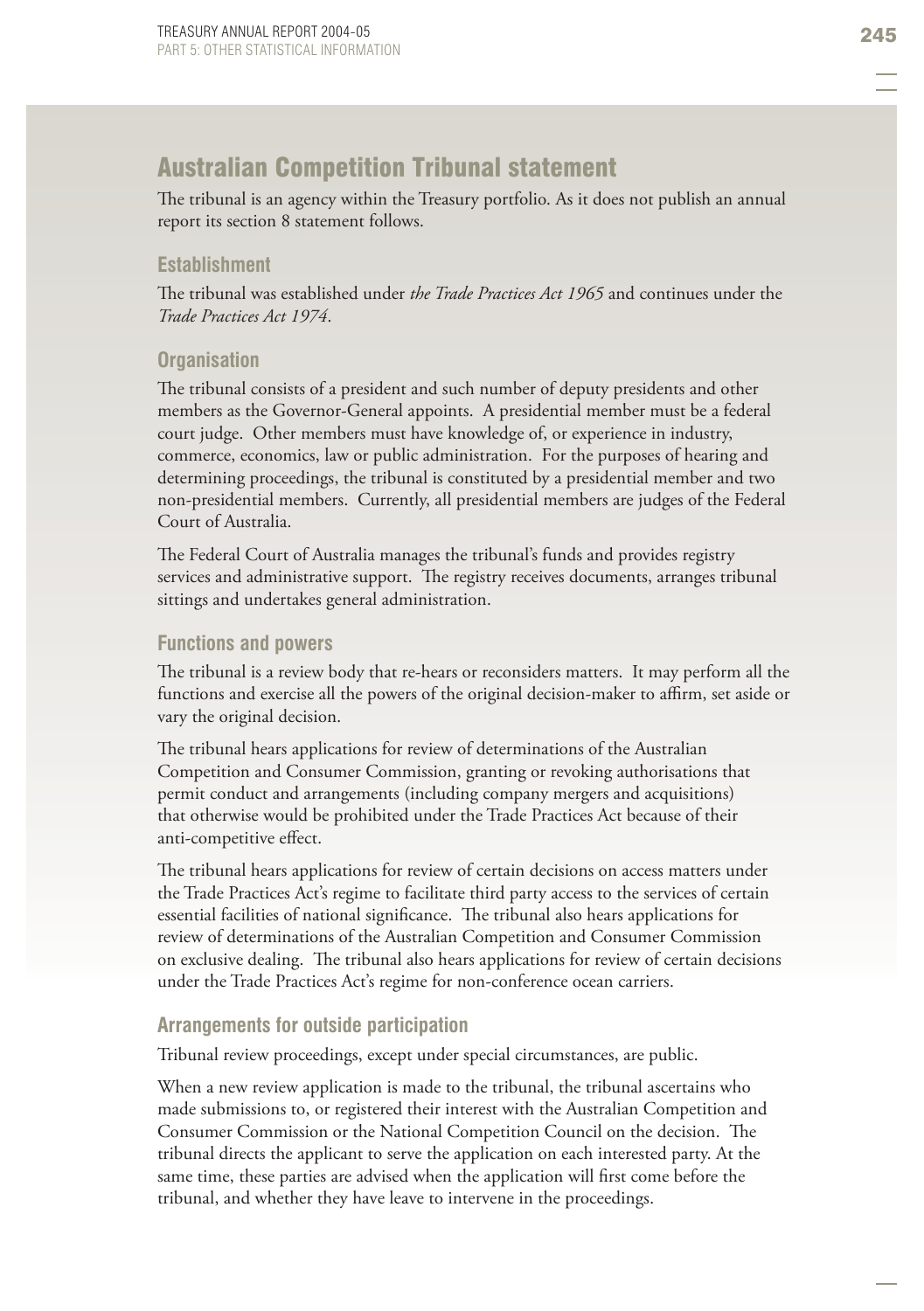# **Australian Competition Tribunal statement**

The tribunal is an agency within the Treasury portfolio. As it does not publish an annual report its section 8 statement follows.

#### **Establishment**

The tribunal was established under *the Trade Practices Act 1965* and continues under the *Trade Practices Act 1974*.

#### **Organisation**

The tribunal consists of a president and such number of deputy presidents and other members as the Governor-General appoints. A presidential member must be a federal court judge. Other members must have knowledge of, or experience in industry, commerce, economics, law or public administration. For the purposes of hearing and determining proceedings, the tribunal is constituted by a presidential member and two non-presidential members. Currently, all presidential members are judges of the Federal Court of Australia.

The Federal Court of Australia manages the tribunal's funds and provides registry services and administrative support. The registry receives documents, arranges tribunal sittings and undertakes general administration.

#### **Functions and powers**

The tribunal is a review body that re-hears or reconsiders matters. It may perform all the functions and exercise all the powers of the original decision-maker to affirm, set aside or vary the original decision.

The tribunal hears applications for review of determinations of the Australian Competition and Consumer Commission, granting or revoking authorisations that permit conduct and arrangements (including company mergers and acquisitions) that otherwise would be prohibited under the Trade Practices Act because of their anti-competitive effect.

The tribunal hears applications for review of certain decisions on access matters under the Trade Practices Act's regime to facilitate third party access to the services of certain essential facilities of national significance. The tribunal also hears applications for review of determinations of the Australian Competition and Consumer Commission on exclusive dealing. The tribunal also hears applications for review of certain decisions under the Trade Practices Act's regime for non-conference ocean carriers.

#### **Arrangements for outside participation**

Tribunal review proceedings, except under special circumstances, are public.

When a new review application is made to the tribunal, the tribunal ascertains who made submissions to, or registered their interest with the Australian Competition and Consumer Commission or the National Competition Council on the decision. The tribunal directs the applicant to serve the application on each interested party. At the same time, these parties are advised when the application will first come before the tribunal, and whether they have leave to intervene in the proceedings.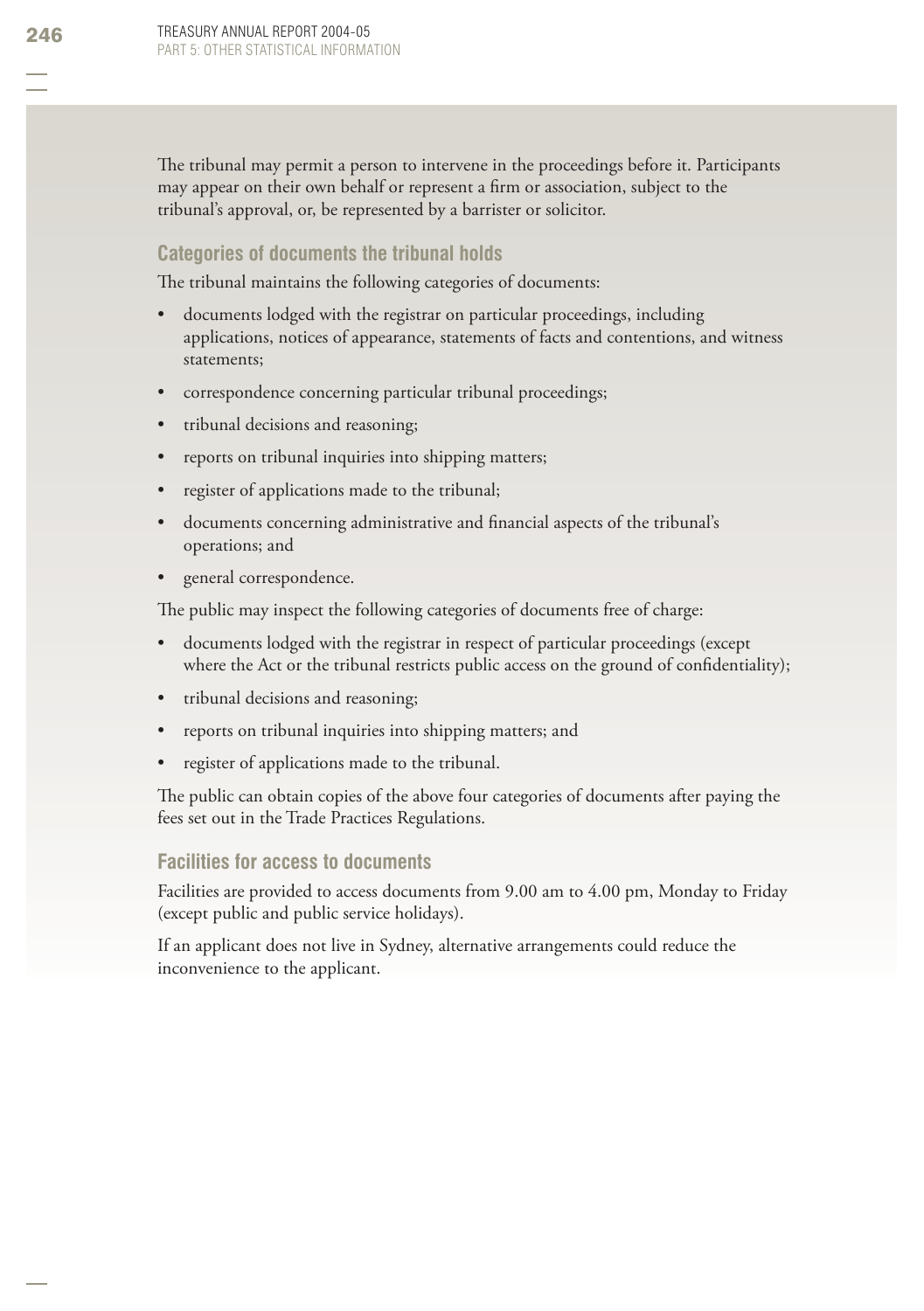The tribunal may permit a person to intervene in the proceedings before it. Participants may appear on their own behalf or represent a firm or association, subject to the tribunal's approval, or, be represented by a barrister or solicitor.

#### **Categories of documents the tribunal holds**

The tribunal maintains the following categories of documents:

- documents lodged with the registrar on particular proceedings, including applications, notices of appearance, statements of facts and contentions, and witness statements; •
- correspondence concerning particular tribunal proceedings; •
- tribunal decisions and reasoning; •
- reports on tribunal inquiries into shipping matters; •
- register of applications made to the tribunal; •
- documents concerning administrative and financial aspects of the tribunal's operations; and •
- general correspondence. •

The public may inspect the following categories of documents free of charge:

- documents lodged with the registrar in respect of particular proceedings (except where the Act or the tribunal restricts public access on the ground of confidentiality); •
- tribunal decisions and reasoning; •
- reports on tribunal inquiries into shipping matters; and •
- register of applications made to the tribunal. •

The public can obtain copies of the above four categories of documents after paying the fees set out in the Trade Practices Regulations.

#### **Facilities for access to documents**

Facilities are provided to access documents from 9.00 am to 4.00 pm, Monday to Friday (except public and public service holidays).

If an applicant does not live in Sydney, alternative arrangements could reduce the inconvenience to the applicant.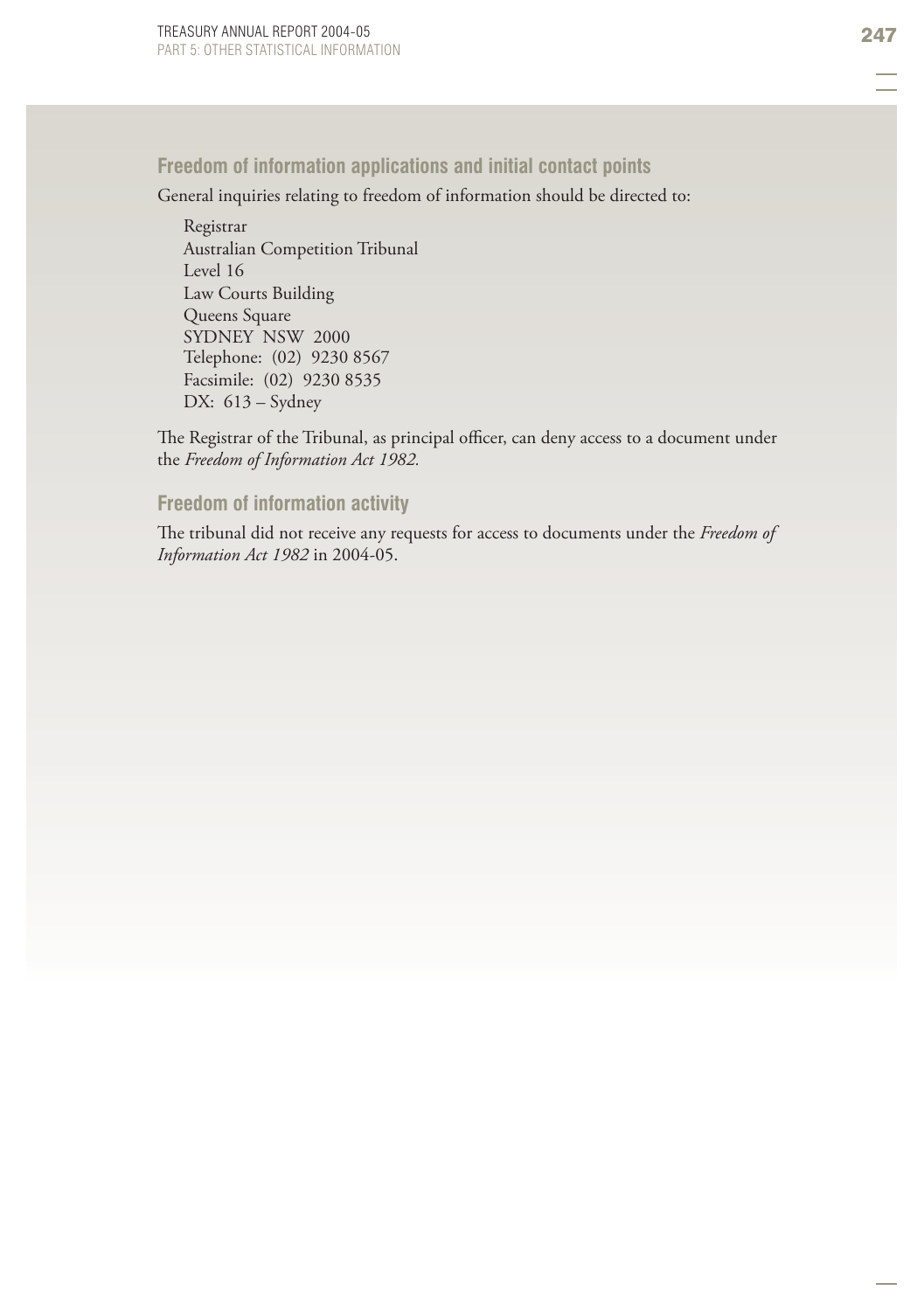### **Freedom of information applications and initial contact points**

General inquiries relating to freedom of information should be directed to:

Registrar Australian Competition Tribunal Level 16 Law Courts Building Queens Square SYDNEY NSW 2000 Telephone: (02) 9230 8567 Facsimile: (02) 9230 8535 DX: 613 – Sydney

The Registrar of the Tribunal, as principal officer, can deny access to a document under the *Freedom of Information Act 1982.*

#### **Freedom of information activity**

The tribunal did not receive any requests for access to documents under the *Freedom of Information Act 1982* in 2004-05.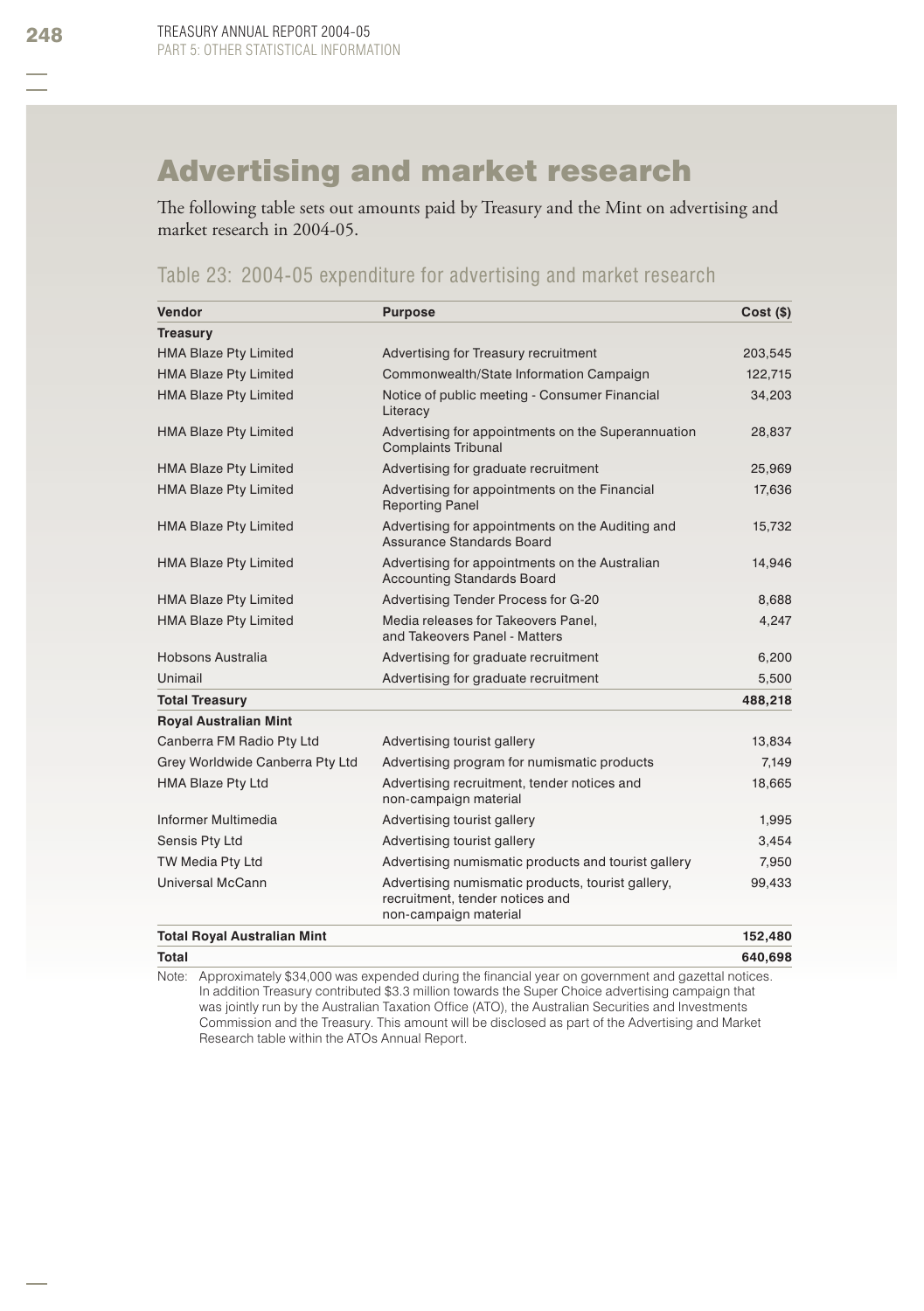# Advertising and market research

The following table sets out amounts paid by Treasury and the Mint on advertising and market research in 2004-05.

### Table 23: 2004-05 expenditure for advertising and market research

| Vendor                             | <b>Purpose</b>                                                                                                | $Cost($ \$) |
|------------------------------------|---------------------------------------------------------------------------------------------------------------|-------------|
| <b>Treasury</b>                    |                                                                                                               |             |
| <b>HMA Blaze Pty Limited</b>       | Advertising for Treasury recruitment                                                                          | 203,545     |
| <b>HMA Blaze Pty Limited</b>       | Commonwealth/State Information Campaign                                                                       | 122,715     |
| <b>HMA Blaze Pty Limited</b>       | Notice of public meeting - Consumer Financial<br>Literacy                                                     | 34,203      |
| <b>HMA Blaze Pty Limited</b>       | Advertising for appointments on the Superannuation<br><b>Complaints Tribunal</b>                              | 28,837      |
| <b>HMA Blaze Pty Limited</b>       | Advertising for graduate recruitment                                                                          | 25,969      |
| <b>HMA Blaze Pty Limited</b>       | Advertising for appointments on the Financial<br><b>Reporting Panel</b>                                       | 17,636      |
| <b>HMA Blaze Pty Limited</b>       | Advertising for appointments on the Auditing and<br>Assurance Standards Board                                 | 15,732      |
| <b>HMA Blaze Pty Limited</b>       | Advertising for appointments on the Australian<br><b>Accounting Standards Board</b>                           | 14,946      |
| <b>HMA Blaze Pty Limited</b>       | Advertising Tender Process for G-20                                                                           | 8,688       |
| <b>HMA Blaze Pty Limited</b>       | Media releases for Takeovers Panel.<br>and Takeovers Panel - Matters                                          | 4,247       |
| Hobsons Australia                  | Advertising for graduate recruitment                                                                          | 6,200       |
| Unimail                            | Advertising for graduate recruitment                                                                          | 5,500       |
| <b>Total Treasury</b>              |                                                                                                               | 488,218     |
| <b>Royal Australian Mint</b>       |                                                                                                               |             |
| Canberra FM Radio Pty Ltd          | Advertising tourist gallery                                                                                   | 13,834      |
| Grey Worldwide Canberra Pty Ltd    | Advertising program for numismatic products                                                                   | 7,149       |
| HMA Blaze Pty Ltd                  | Advertising recruitment, tender notices and<br>non-campaign material                                          | 18,665      |
| Informer Multimedia                | Advertising tourist gallery                                                                                   | 1,995       |
| Sensis Pty Ltd                     | Advertising tourist gallery                                                                                   | 3,454       |
| TW Media Pty Ltd                   | Advertising numismatic products and tourist gallery                                                           | 7,950       |
| Universal McCann                   | Advertising numismatic products, tourist gallery,<br>recruitment, tender notices and<br>non-campaign material | 99,433      |
| <b>Total Royal Australian Mint</b> |                                                                                                               | 152,480     |

**Total 640,698**

Note: Approximately \$34,000 was expended during the financial year on government and gazettal notices. In addition Treasury contributed \$3.3 million towards the Super Choice advertising campaign that was jointly run by the Australian Taxation Office (ATO), the Australian Securities and Investments Commission and the Treasury. This amount will be disclosed as part of the Advertising and Market Research table within the ATOs Annual Report.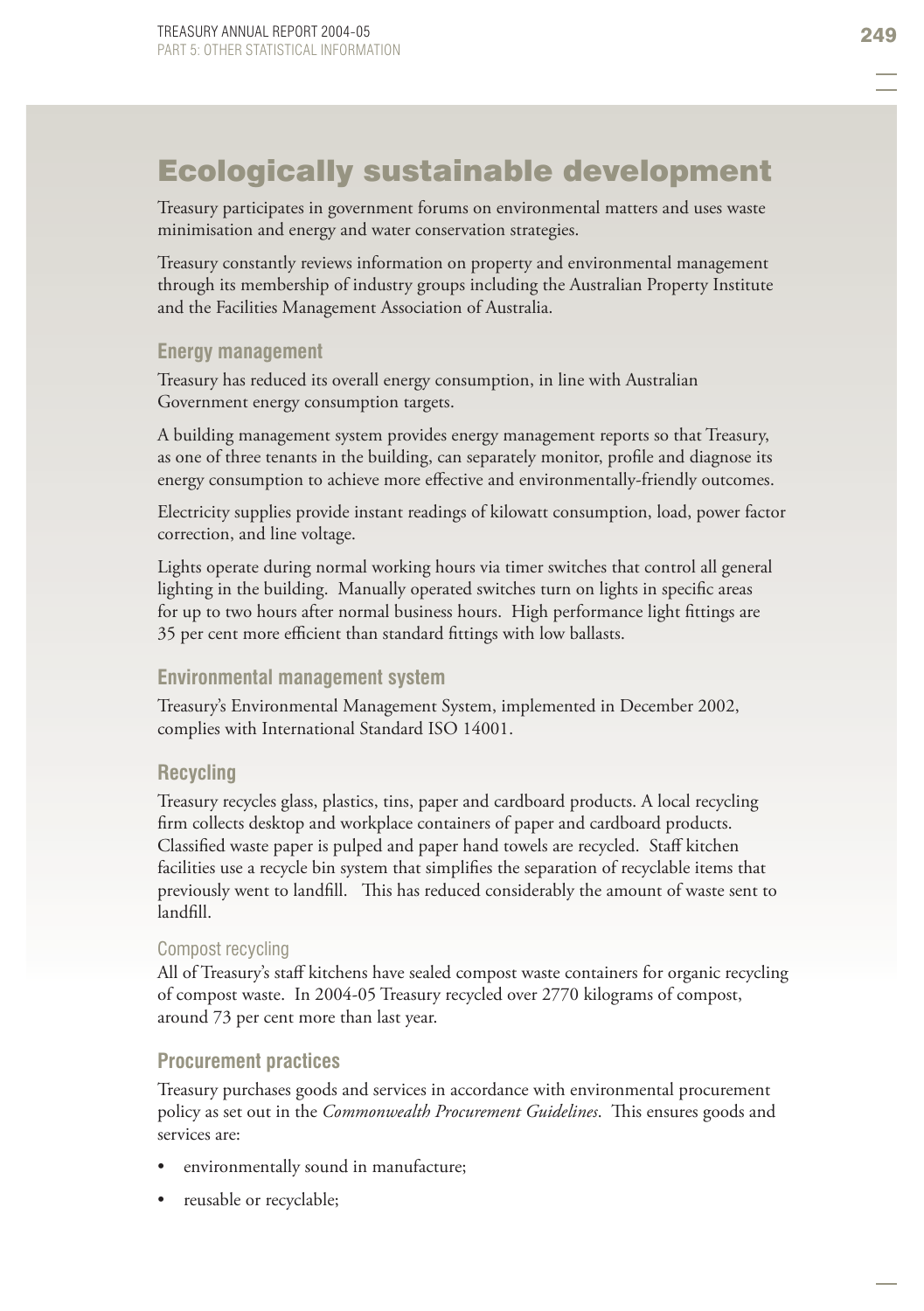# Ecologically sustainable development

Treasury participates in government forums on environmental matters and uses waste minimisation and energy and water conservation strategies.

Treasury constantly reviews information on property and environmental management through its membership of industry groups including the Australian Property Institute and the Facilities Management Association of Australia.

#### **Energy management**

Treasury has reduced its overall energy consumption, in line with Australian Government energy consumption targets.

A building management system provides energy management reports so that Treasury, as one of three tenants in the building, can separately monitor, profile and diagnose its energy consumption to achieve more effective and environmentally-friendly outcomes.

Electricity supplies provide instant readings of kilowatt consumption, load, power factor correction, and line voltage.

Lights operate during normal working hours via timer switches that control all general lighting in the building. Manually operated switches turn on lights in specific areas for up to two hours after normal business hours. High performance light fittings are 35 per cent more efficient than standard fittings with low ballasts.

#### **Environmental management system**

Treasury's Environmental Management System, implemented in December 2002, complies with International Standard ISO 14001.

#### **Recycling**

Treasury recycles glass, plastics, tins, paper and cardboard products. A local recycling firm collects desktop and workplace containers of paper and cardboard products. Classified waste paper is pulped and paper hand towels are recycled. Staff kitchen facilities use a recycle bin system that simplifies the separation of recyclable items that previously went to landfill. This has reduced considerably the amount of waste sent to landfill.

#### Compost recycling

All of Treasury's staff kitchens have sealed compost waste containers for organic recycling of compost waste. In 2004-05 Treasury recycled over 2770 kilograms of compost, around 73 per cent more than last year.

#### **Procurement practices**

Treasury purchases goods and services in accordance with environmental procurement policy as set out in the *Commonwealth Procurement Guidelines*. This ensures goods and services are:

- environmentally sound in manufacture; •
- reusable or recyclable; •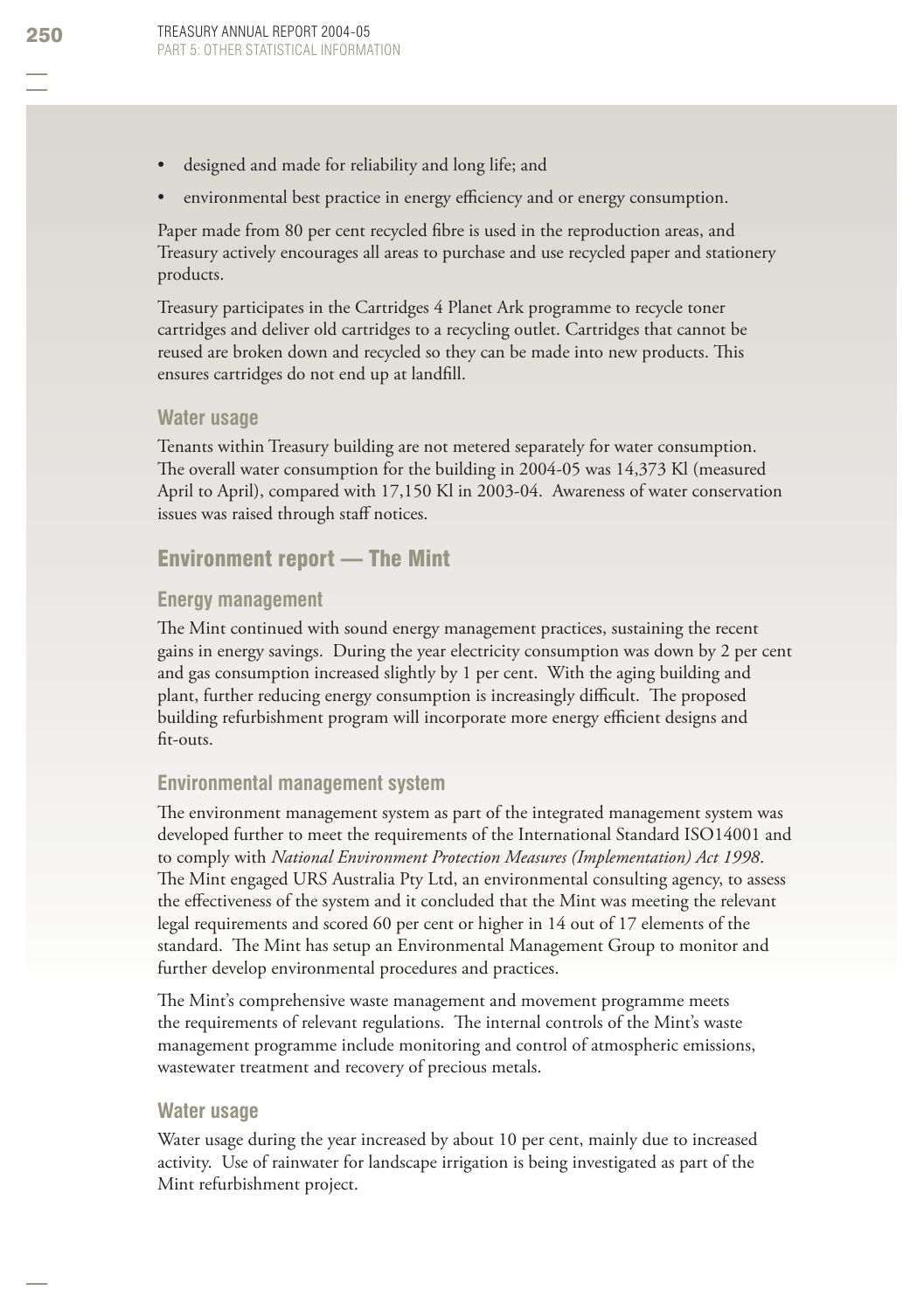- designed and made for reliability and long life; and •
- environmental best practice in energy efficiency and or energy consumption. •

Paper made from 80 per cent recycled fibre is used in the reproduction areas, and Treasury actively encourages all areas to purchase and use recycled paper and stationery products.

Treasury participates in the Cartridges 4 Planet Ark programme to recycle toner cartridges and deliver old cartridges to a recycling outlet. Cartridges that cannot be reused are broken down and recycled so they can be made into new products. This ensures cartridges do not end up at landfill.

#### **Water usage**

Tenants within Treasury building are not metered separately for water consumption. The overall water consumption for the building in  $2004-05$  was  $14,373$  Kl (measured April to April), compared with 17,150 Kl in 2003-04. Awareness of water conservation issues was raised through staff notices.

#### Environment report — The Mint

#### **Energy management**

The Mint continued with sound energy management practices, sustaining the recent gains in energy savings. During the year electricity consumption was down by 2 per cent and gas consumption increased slightly by 1 per cent. With the aging building and plant, further reducing energy consumption is increasingly difficult. The proposed building refurbishment program will incorporate more energy efficient designs and fit-outs.

#### **Environmental management system**

The environment management system as part of the integrated management system was developed further to meet the requirements of the International Standard ISO14001 and to comply with *National Environment Protection Measures (Implementation) Act 1998*. The Mint engaged URS Australia Pty Ltd, an environmental consulting agency, to assess the effectiveness of the system and it concluded that the Mint was meeting the relevant legal requirements and scored 60 per cent or higher in 14 out of 17 elements of the standard. The Mint has setup an Environmental Management Group to monitor and further develop environmental procedures and practices.

The Mint's comprehensive waste management and movement programme meets the requirements of relevant regulations. The internal controls of the Mint's waste management programme include monitoring and control of atmospheric emissions, wastewater treatment and recovery of precious metals.

#### **Water usage**

Water usage during the year increased by about 10 per cent, mainly due to increased activity. Use of rainwater for landscape irrigation is being investigated as part of the Mint refurbishment project.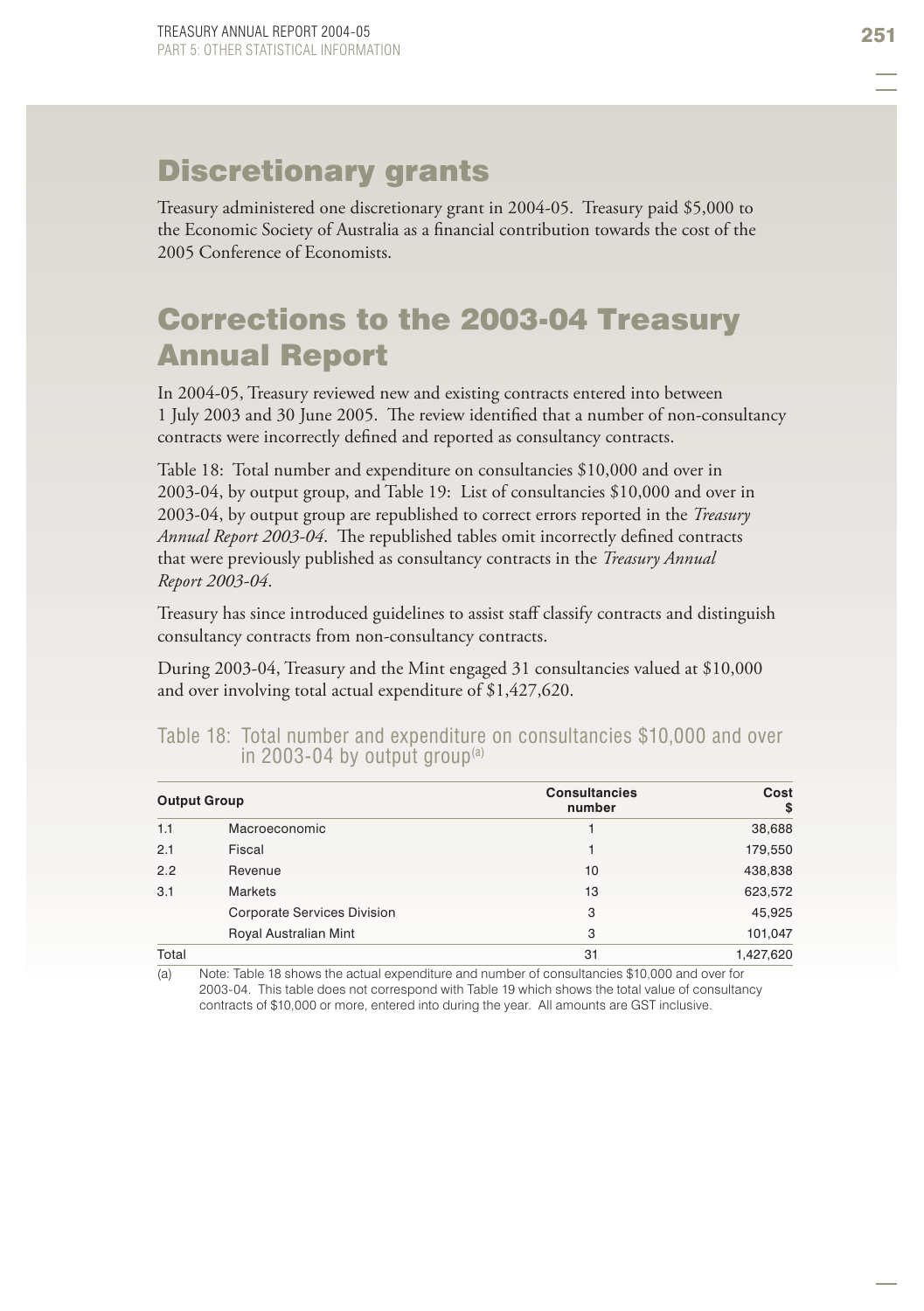# Discretionary grants

Treasury administered one discretionary grant in 2004-05. Treasury paid \$5,000 to the Economic Society of Australia as a financial contribution towards the cost of the 2005 Conference of Economists.

# Corrections to the 2003-04 Treasury Annual Report

In 2004-05, Treasury reviewed new and existing contracts entered into between 1 July 2003 and 30 June 2005. The review identified that a number of non-consultancy contracts were incorrectly defined and reported as consultancy contracts.

Table 18: Total number and expenditure on consultancies \$10,000 and over in 2003-04, by output group, and Table 19: List of consultancies \$10,000 and over in 2003-04, by output group are republished to correct errors reported in the *Treasury Annual Report 2003-04*. The republished tables omit incorrectly defined contracts that were previously published as consultancy contracts in the *Treasury Annual Report 2003-04*.

Treasury has since introduced guidelines to assist staff classify contracts and distinguish consultancy contracts from non-consultancy contracts.

During 2003-04, Treasury and the Mint engaged 31 consultancies valued at \$10,000 and over involving total actual expenditure of \$1,427,620.

|     | <b>Output Group</b>                | <b>Consultancies</b><br>number | Cost<br>\$ |
|-----|------------------------------------|--------------------------------|------------|
| 1.1 | Macroeconomic                      |                                | 38,688     |
| 2.1 | Fiscal                             |                                | 179,550    |
| 2.2 | Revenue                            | 10                             | 438,838    |
| 3.1 | <b>Markets</b>                     | 13                             | 623,572    |
|     | <b>Corporate Services Division</b> | 3                              | 45,925     |
|     | Royal Australian Mint              | 3                              | 101.047    |

#### Table 18: Total number and expenditure on consultancies \$10,000 and over in 2003-04 by output group $(a)$

Total 31 1,427,620

(a) Note: Table 18 shows the actual expenditure and number of consultancies \$10,000 and over for 2003-04. This table does not correspond with Table 19 which shows the total value of consultancy contracts of \$10,000 or more, entered into during the year. All amounts are GST inclusive.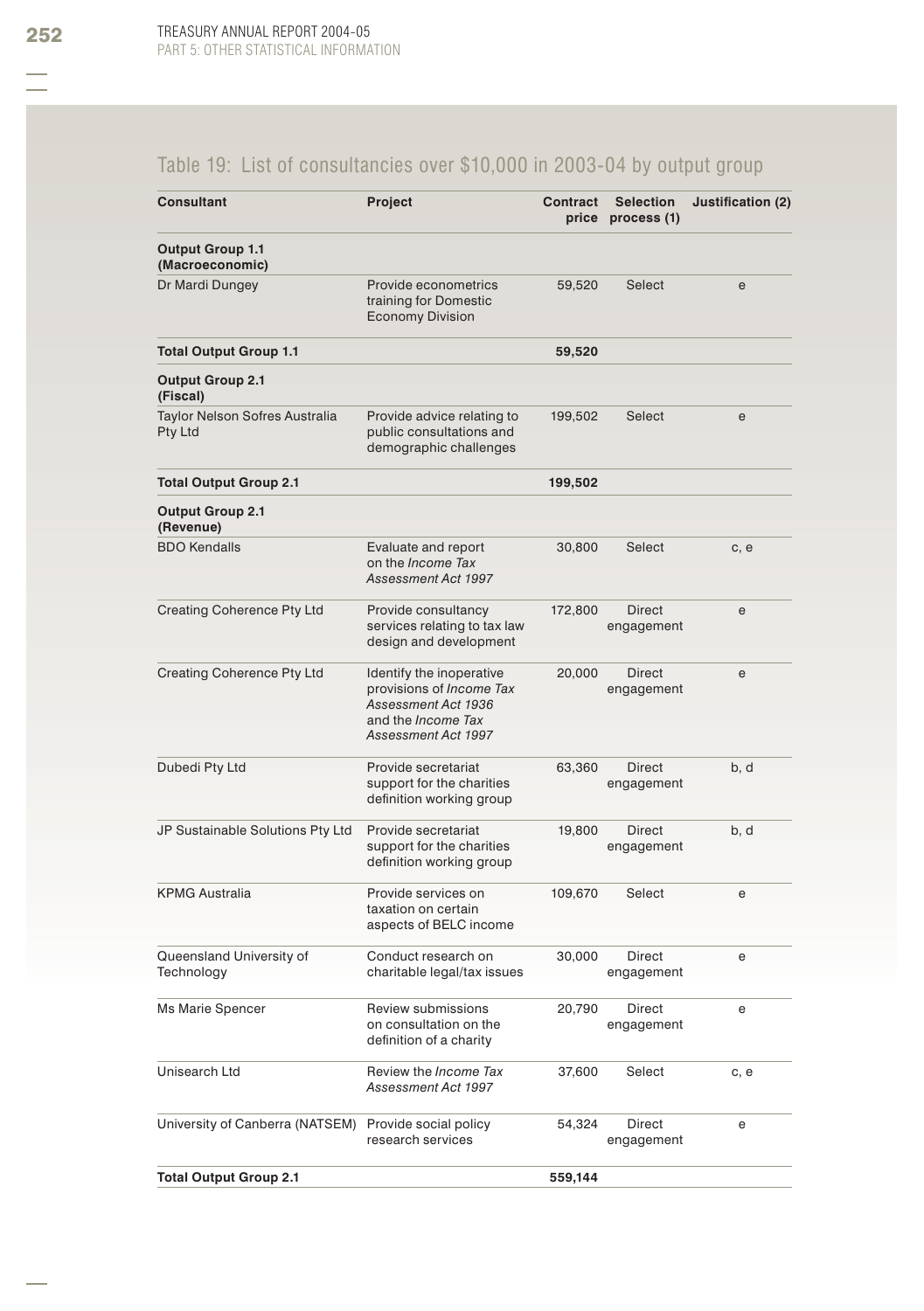## Table 19: List of consultancies over \$10,000 in 2003-04 by output group

| Consultant                                 | <b>Project</b>                                                                                                                  | Contract | <b>Selection</b><br>price process (1) | Justification (2) |
|--------------------------------------------|---------------------------------------------------------------------------------------------------------------------------------|----------|---------------------------------------|-------------------|
| <b>Output Group 1.1</b><br>(Macroeconomic) |                                                                                                                                 |          |                                       |                   |
| Dr Mardi Dungey                            | Provide econometrics<br>training for Domestic<br><b>Economy Division</b>                                                        | 59,520   | <b>Select</b>                         | e                 |
| <b>Total Output Group 1.1</b>              |                                                                                                                                 | 59,520   |                                       |                   |
| <b>Output Group 2.1</b><br>(Fiscal)        |                                                                                                                                 |          |                                       |                   |
| Taylor Nelson Sofres Australia<br>Pty Ltd  | Provide advice relating to<br>public consultations and<br>demographic challenges                                                | 199,502  | Select                                | e                 |
| <b>Total Output Group 2.1</b>              |                                                                                                                                 | 199,502  |                                       |                   |
| <b>Output Group 2.1</b><br>(Revenue)       |                                                                                                                                 |          |                                       |                   |
| <b>BDO Kendalls</b>                        | Evaluate and report<br>on the <i>Income Tax</i><br>Assessment Act 1997                                                          | 30,800   | Select                                | c, e              |
| Creating Coherence Pty Ltd                 | Provide consultancy<br>services relating to tax law<br>design and development                                                   | 172,800  | <b>Direct</b><br>engagement           | e                 |
| <b>Creating Coherence Pty Ltd</b>          | Identify the inoperative<br>provisions of <i>Income Tax</i><br>Assessment Act 1936<br>and the Income Tax<br>Assessment Act 1997 | 20,000   | Direct<br>engagement                  | e                 |
| Dubedi Pty Ltd                             | Provide secretariat<br>support for the charities<br>definition working group                                                    | 63,360   | Direct<br>engagement                  | b, d              |
| JP Sustainable Solutions Pty Ltd           | Provide secretariat<br>support for the charities<br>definition working group                                                    | 19,800   | Direct<br>engagement                  | b, d              |
| <b>KPMG Australia</b>                      | Provide services on<br>taxation on certain<br>aspects of BELC income                                                            | 109,670  | Select                                | e                 |
| Queensland University of<br>Technology     | Conduct research on<br>charitable legal/tax issues                                                                              | 30,000   | Direct<br>engagement                  | е                 |
| Ms Marie Spencer                           | Review submissions<br>on consultation on the<br>definition of a charity                                                         | 20,790   | Direct<br>engagement                  | е                 |
| Unisearch Ltd                              | Review the Income Tax<br>Assessment Act 1997                                                                                    | 37,600   | Select                                | c, e              |
| University of Canberra (NATSEM)            | Provide social policy<br>research services                                                                                      | 54,324   | Direct<br>engagement                  | е                 |
| <b>Total Output Group 2.1</b>              |                                                                                                                                 | 559,144  |                                       |                   |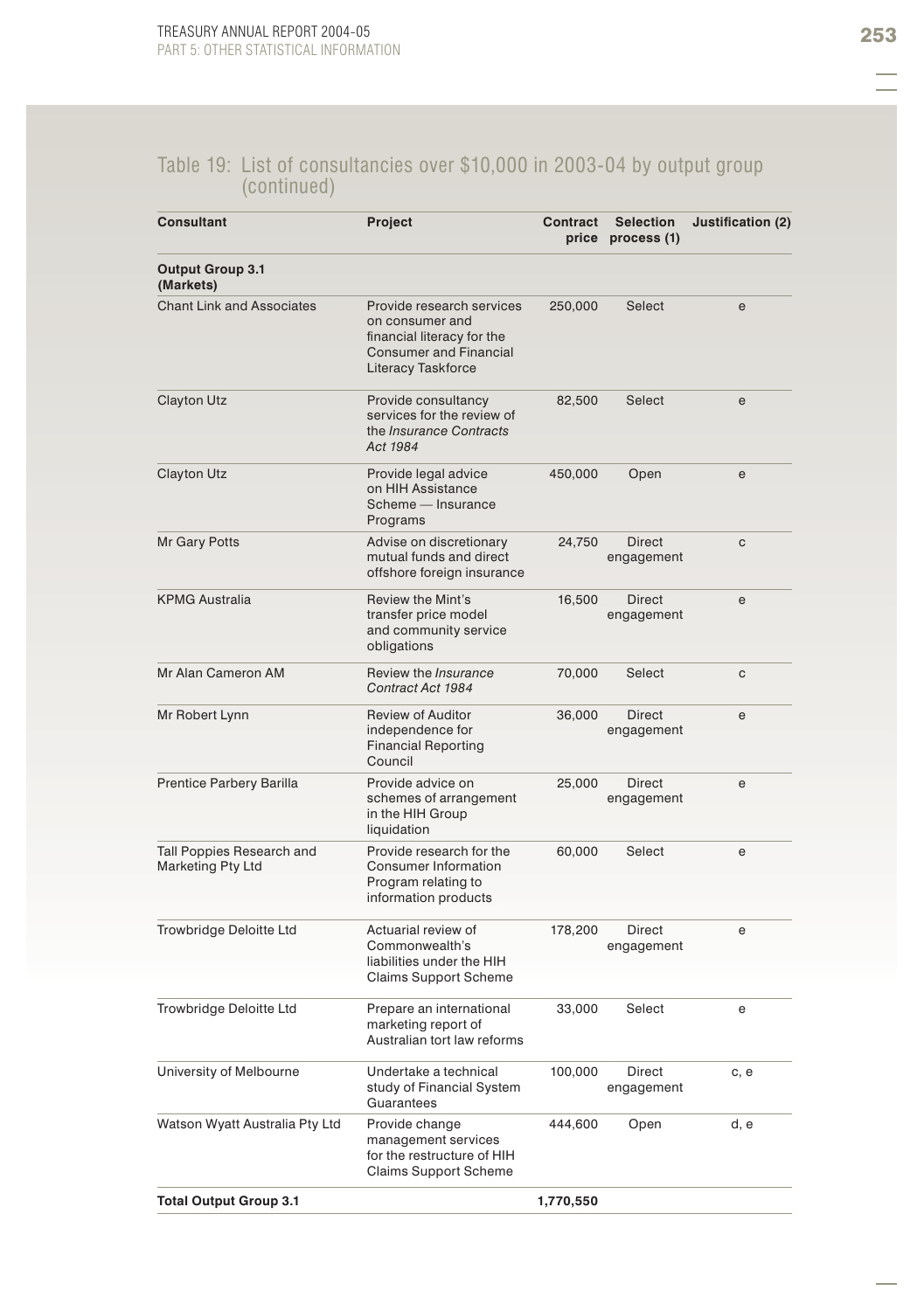#### Table 19: List of consultancies over \$10,000 in 2003-04 by output group (continued)

| <b>Consultant</b>                              | Project                                                                                                                                  | Contract  | <b>Selection</b><br>price process (1) | Justification (2) |
|------------------------------------------------|------------------------------------------------------------------------------------------------------------------------------------------|-----------|---------------------------------------|-------------------|
| <b>Output Group 3.1</b><br>(Markets)           |                                                                                                                                          |           |                                       |                   |
| <b>Chant Link and Associates</b>               | Provide research services<br>on consumer and<br>financial literacy for the<br><b>Consumer and Financial</b><br><b>Literacy Taskforce</b> | 250,000   | Select                                | e                 |
| Clayton Utz                                    | Provide consultancy<br>services for the review of<br>the <i>Insurance Contracts</i><br>Act 1984                                          | 82,500    | Select                                | e                 |
| <b>Clayton Utz</b>                             | Provide legal advice<br>on HIH Assistance<br>Scheme - Insurance<br>Programs                                                              | 450,000   | Open                                  | e                 |
| Mr Gary Potts                                  | Advise on discretionary<br>mutual funds and direct<br>offshore foreign insurance                                                         | 24,750    | <b>Direct</b><br>engagement           | C                 |
| <b>KPMG Australia</b>                          | Review the Mint's<br>transfer price model<br>and community service<br>obligations                                                        | 16,500    | <b>Direct</b><br>engagement           | e                 |
| Mr Alan Cameron AM                             | Review the <i>Insurance</i><br>Contract Act 1984                                                                                         | 70,000    | Select                                | C                 |
| Mr Robert Lynn                                 | <b>Review of Auditor</b><br>independence for<br><b>Financial Reporting</b><br>Council                                                    | 36,000    | <b>Direct</b><br>engagement           | e                 |
| Prentice Parbery Barilla                       | Provide advice on<br>schemes of arrangement<br>in the HIH Group<br>liquidation                                                           | 25,000    | Direct<br>engagement                  | е                 |
| Tall Poppies Research and<br>Marketing Pty Ltd | Provide research for the<br>Consumer Information<br>Program relating to<br>information products                                          | 60,000    | Select                                | е                 |
| Trowbridge Deloitte Ltd                        | Actuarial review of<br>Commonwealth's<br>liabilities under the HIH<br><b>Claims Support Scheme</b>                                       | 178,200   | Direct<br>engagement                  | e                 |
| Trowbridge Deloitte Ltd                        | Prepare an international<br>marketing report of<br>Australian tort law reforms                                                           | 33,000    | Select                                | е                 |
| University of Melbourne                        | Undertake a technical<br>study of Financial System<br>Guarantees                                                                         | 100,000   | Direct<br>engagement                  | c, e              |
| Watson Wyatt Australia Pty Ltd                 | Provide change<br>management services<br>for the restructure of HIH<br><b>Claims Support Scheme</b>                                      | 444,600   | Open                                  | d, e              |
| <b>Total Output Group 3.1</b>                  |                                                                                                                                          | 1,770,550 |                                       |                   |